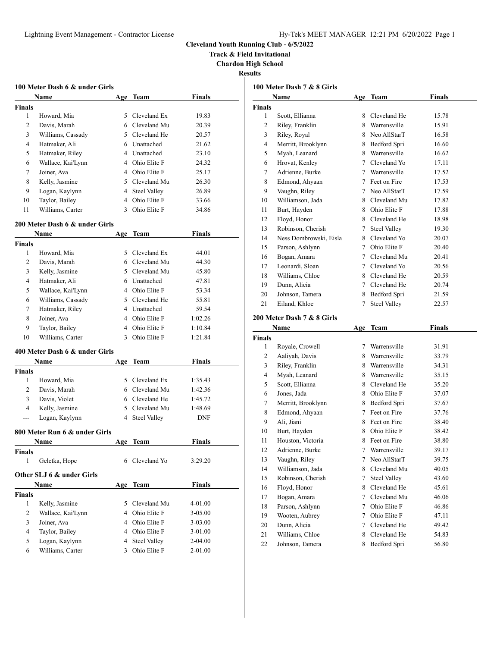**Track & Field Invitational**

**Chardon High School**

**Results**

|                | 100 Meter Dash 6 & under Girls |            |                     |               |
|----------------|--------------------------------|------------|---------------------|---------------|
|                | Name                           |            | Age Team            | <b>Finals</b> |
| <b>Finals</b>  |                                |            |                     |               |
| 1              | Howard, Mia                    | 5          | Cleveland Ex        | 19.83         |
| $\overline{c}$ | Davis, Marah                   |            | 6 Cleveland Mu      | 20.39         |
| 3              | Williams, Cassady              |            | 5 Cleveland He      | 20.57         |
| 4              | Hatmaker, Ali                  |            | 6 Unattached        | 21.62         |
| 5              | Hatmaker, Riley                |            | 4 Unattached        | 23.10         |
| 6              | Wallace, Kai'Lynn              |            | 4 Ohio Elite F      | 24.32         |
| 7              | Joiner, Ava                    |            | 4 Ohio Elite F      | 25.17         |
| 8              | Kelly, Jasmine                 |            | 5 Cleveland Mu      | 26.30         |
| 9              | Logan, Kaylynn                 |            | 4 Steel Valley      | 26.89         |
| 10             | Taylor, Bailey                 |            | 4 Ohio Elite F      | 33.66         |
| 11             | Williams, Carter               |            | 3 Ohio Elite F      | 34.86         |
|                | 200 Meter Dash 6 & under Girls |            |                     |               |
|                | Name                           | Age        | Team                | <b>Finals</b> |
| <b>Finals</b>  |                                |            |                     |               |
| 1              | Howard, Mia                    |            | 5 Cleveland Ex      | 44.01         |
| 2              | Davis, Marah                   |            | 6 Cleveland Mu      | 44.30         |
| 3              | Kelly, Jasmine                 |            | 5 Cleveland Mu      | 45.80         |
| 4              | Hatmaker, Ali                  |            | 6 Unattached        | 47.81         |
| 5              | Wallace, Kai'Lynn              |            | 4 Ohio Elite F      | 53.34         |
| 6              | Williams, Cassady              |            | 5 Cleveland He      | 55.81         |
| 7              | Hatmaker, Riley                |            | 4 Unattached        | 59.54         |
| 8              | Joiner, Ava                    |            | 4 Ohio Elite F      | 1:02.26       |
| 9              | Taylor, Bailey                 |            | 4 Ohio Elite F      | 1:10.84       |
| 10             | Williams, Carter               | 3          | Ohio Elite F        | 1:21.84       |
|                | 400 Meter Dash 6 & under Girls |            |                     |               |
|                | Name                           | Age        | Team                | <b>Finals</b> |
| <b>Finals</b>  |                                |            |                     |               |
| 1              | Howard, Mia                    |            | 5 Cleveland Ex      | 1:35.43       |
| 2              | Davis, Marah                   |            | 6 Cleveland Mu      | 1:42.36       |
| 3              | Davis, Violet                  |            | 6 Cleveland He      | 1:45.72       |
| $\overline{4}$ | Kelly, Jasmine                 |            | 5 Cleveland Mu      | 1:48.69       |
| ---            | Logan, Kaylynn                 | 4          | <b>Steel Valley</b> | <b>DNF</b>    |
|                | 800 Meter Run 6 & under Girls  |            |                     |               |
|                | <b>Name</b>                    | <u>Age</u> | <b>Team</b>         | <b>Finals</b> |
| Finals         |                                |            |                     |               |
| $\mathbf{1}$   | Geletka, Hope                  |            | 6 Cleveland Yo      | 3:29.20       |
|                | Other SLJ 6 & under Girls      |            |                     |               |
|                | Name                           | Age        | <b>Team</b>         | <b>Finals</b> |
| <b>Finals</b>  |                                |            |                     |               |
| 1              | Kelly, Jasmine                 | 5          | Cleveland Mu        | 4-01.00       |
| 2              | Wallace, Kai'Lynn              |            | 4 Ohio Elite F      | 3-05.00       |
| 3              | Joiner, Ava                    |            | 4 Ohio Elite F      | $3 - 03.00$   |
| 4              | Taylor, Bailey                 |            | 4 Ohio Elite F      | 3-01.00       |
| 5              | Logan, Kaylynn                 | 4          | <b>Steel Valley</b> | 2-04.00       |
| 6              | Williams, Carter               | 3          | Ohio Elite F        | $2 - 01.00$   |

|                | Name                   | Age | Team                | Finals |
|----------------|------------------------|-----|---------------------|--------|
| <b>Finals</b>  |                        |     |                     |        |
| 1              | Scott, Ellianna        | 8   | Cleveland He        | 15.78  |
| $\overline{c}$ | Riley, Franklin        | 8   | Warrensville        | 15.91  |
| 3              | Riley, Royal           | 8   | Neo AllStarT        | 16.58  |
| 4              | Merritt, Brooklynn     | 8   | Bedford Spri        | 16.60  |
| 5              | Myah, Leanard          | 8   | Warrensville        | 16.62  |
| 6              | Hrovat, Kenley         | 7   | Cleveland Yo        | 17.11  |
| 7              | Adrienne, Burke        | 7   | Warrensville        | 17.52  |
| 8              | Edmond, Ahyaan         | 7   | Feet on Fire        | 17.53  |
| 9              | Vaughn, Riley          | 7   | Neo AllStarT        | 17.59  |
| 10             | Williamson, Jada       | 8.  | Cleveland Mu        | 17.82  |
| 11             | Burt, Hayden           | 8   | Ohio Elite F        | 17.88  |
| 12             | Floyd, Honor           | 8.  | Cleveland He        | 18.98  |
| 13             | Robinson, Cherish      | 7   | <b>Steel Valley</b> | 19.30  |
| 14             | Ness Dombrowski, Eisla | 8   | Cleveland Yo        | 20.07  |
| 15             | Parson, Ashlynn        | 7   | Ohio Elite F        | 20.40  |
| 16             | Bogan, Amara           | 7   | Cleveland Mu        | 20.41  |
| 17             | Leonardi, Sloan        | 7   | Cleveland Yo        | 20.56  |
| 18             | Williams, Chloe        | 8   | Cleveland He        | 20.59  |
| 19             | Dunn, Alicia           | 7   | Cleveland He        | 20.74  |
| 20             | Johnson, Tamera        | 8   | Bedford Spri        | 21.59  |
| 21             | Eiland, Khloe          | 7   | <b>Steel Valley</b> | 22.57  |
|                |                        |     |                     |        |

# **200 Meter Dash 7 & 8 Girls**

|        | Name               | Age | <b>Team</b>         | Finals |  |
|--------|--------------------|-----|---------------------|--------|--|
| Finals |                    |     |                     |        |  |
| 1      | Royale, Crowell    | 7   | Warrensville        | 31.91  |  |
| 2      | Aaliyah, Davis     | 8   | Warrensville        | 33.79  |  |
| 3      | Riley, Franklin    | 8   | Warrensville        | 34.31  |  |
| 4      | Myah, Leanard      | 8   | Warrensville        | 35.15  |  |
| 5      | Scott, Ellianna    | 8   | Cleveland He        | 35.20  |  |
| 6      | Jones, Jada        | 8   | Ohio Elite F        | 37.07  |  |
| 7      | Merritt, Brooklynn | 8   | Bedford Spri        | 37.67  |  |
| 8      | Edmond, Ahyaan     | 7   | Feet on Fire        | 37.76  |  |
| 9      | Ali, Jiani         | 8   | Feet on Fire        | 38.40  |  |
| 10     | Burt, Hayden       | 8   | Ohio Elite F        | 38.42  |  |
| 11     | Houston, Victoria  | 8   | Feet on Fire        | 38.80  |  |
| 12     | Adrienne, Burke    | 7   | Warrensville        | 39.17  |  |
| 13     | Vaughn, Riley      | 7   | Neo AllStarT        | 39.75  |  |
| 14     | Williamson, Jada   | 8   | Cleveland Mu        | 40.05  |  |
| 15     | Robinson, Cherish  | 7   | <b>Steel Valley</b> | 43.60  |  |
| 16     | Floyd, Honor       | 8   | Cleveland He        | 45.61  |  |
| 17     | Bogan, Amara       | 7   | Cleveland Mu        | 46.06  |  |
| 18     | Parson, Ashlynn    | 7   | Ohio Elite F        | 46.86  |  |
| 19     | Wooten, Aubrey     | 7   | Ohio Elite F        | 47.11  |  |
| 20     | Dunn, Alicia       | 7   | Cleveland He        | 49.42  |  |
| 21     | Williams, Chloe    | 8   | Cleveland He        | 54.83  |  |
| 22     | Johnson, Tamera    | 8   | Bedford Spri        | 56.80  |  |
|        |                    |     |                     |        |  |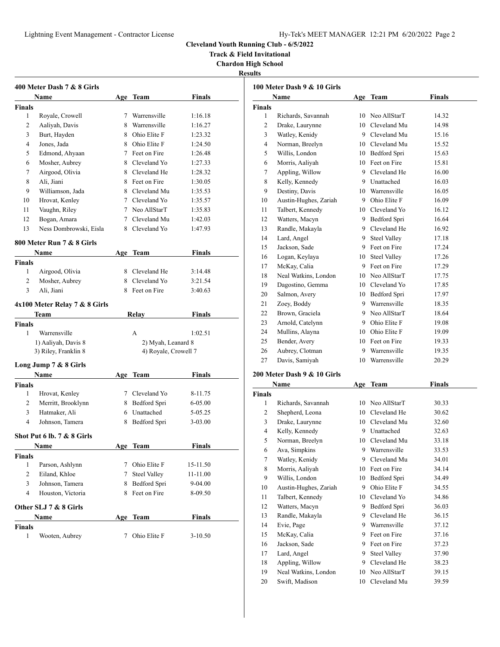**Track & Field Invitational**

**Chardon High School**

**Results**

|                | 400 Meter Dash 7 & 8 Girls    |            |                      |               |
|----------------|-------------------------------|------------|----------------------|---------------|
|                | Name                          |            | Age Team             | <b>Finals</b> |
| Finals         |                               |            |                      |               |
| 1              | Royale, Crowell               |            | 7 Warrensville       | 1:16.18       |
| 2              | Aaliyah, Davis                | 8          | Warrensville         | 1:16.27       |
| 3              | Burt, Hayden                  |            | 8 Ohio Elite F       | 1:23.32       |
| 4              | Jones, Jada                   |            | 8 Ohio Elite F       | 1:24.50       |
| 5              | Edmond, Ahyaan                |            | 7 Feet on Fire       | 1:26.48       |
| 6              | Mosher, Aubrey                |            | 8 Cleveland Yo       | 1:27.33       |
| 7              | Airgood, Olivia               |            | 8 Cleveland He       | 1:28.32       |
| 8              | Ali, Jiani                    |            | 8 Feet on Fire       | 1:30.05       |
| 9              | Williamson, Jada              |            | 8 Cleveland Mu       | 1:35.53       |
| 10             | Hrovat, Kenley                |            | 7 Cleveland Yo       | 1:35.57       |
| 11             | Vaughn, Riley                 |            | 7 Neo AllStarT       | 1:35.83       |
| 12             | Bogan, Amara                  |            | 7 Cleveland Mu       | 1:42.03       |
| 13             | Ness Dombrowski, Eisla        |            | 8 Cleveland Yo       | 1:47.93       |
|                |                               |            |                      |               |
|                | 800 Meter Run 7 & 8 Girls     |            |                      |               |
|                | Name                          |            | Age Team             | Finals        |
| Finals         |                               |            |                      |               |
| 1              | Airgood, Olivia               |            | 8 Cleveland He       | 3:14.48       |
| $\overline{c}$ | Mosher, Aubrey                |            | 8 Cleveland Yo       | 3:21.54       |
| 3              | Ali, Jiani                    |            | 8 Feet on Fire       | 3:40.63       |
|                | 4x100 Meter Relay 7 & 8 Girls |            |                      |               |
|                | Team                          |            | Relay                | Finals        |
| <b>Finals</b>  |                               |            |                      |               |
| 1              | Warrensville                  |            | A                    | 1:02.51       |
|                | 1) Aaliyah, Davis 8           |            | 2) Myah, Leanard 8   |               |
|                | 3) Riley, Franklin 8          |            | 4) Royale, Crowell 7 |               |
|                |                               |            |                      |               |
|                | Long Jump 7 & 8 Girls         |            |                      |               |
|                | Name                          | Age        | Team                 | Finals        |
| <b>Finals</b>  |                               |            |                      |               |
| 1              | Hrovat, Kenley                |            | 7 Cleveland Yo       | 8-11.75       |
| 2              | Merritt, Brooklynn            |            | 8 Bedford Spri       | 6-05.00       |
| 3              | Hatmaker, Ali                 |            | 6 Unattached         | 5-05.25       |
| 4              | Johnson, Tamera               |            | 8 Bedford Spri       | 3-03.00       |
|                | Shot Put 6 lb. 7 & 8 Girls    |            |                      |               |
|                | <b>Name</b>                   | <u>Age</u> | <b>Team</b>          | <u>Finals</u> |
| Finals         |                               |            |                      |               |
| 1              | Parson, Ashlynn               | 7          | Ohio Elite F         | 15-11.50      |
| 2              | Eiland, Khloe                 | 7          | <b>Steel Valley</b>  | 11-11.00      |
| 3              | Johnson, Tamera               | 8          | Bedford Spri         | 9-04.00       |
| $\overline{4}$ | Houston, Victoria             | 8          | Feet on Fire         | 8-09.50       |
|                |                               |            |                      |               |
|                | Other SLJ 7 & 8 Girls         |            |                      |               |
|                | Name                          | Age        | <b>Team</b>          | <b>Finals</b> |
| <b>Finals</b>  |                               |            |                      |               |
| 1              | Wooten, Aubrey                | 7          | Ohio Elite F         | 3-10.50       |

|                | 100 Meter Dash 9 & 10 Girls |    |                 |               |
|----------------|-----------------------------|----|-----------------|---------------|
|                | Name                        |    | Age Team        | <b>Finals</b> |
| <b>Finals</b>  |                             |    |                 |               |
| 1              | Richards, Savannah          |    | 10 Neo AllStarT | 14.32         |
| $\overline{c}$ | Drake, Laurynne             |    | 10 Cleveland Mu | 14.98         |
| 3              | Watley, Kenidy              |    | 9 Cleveland Mu  | 15.16         |
| 4              | Norman, Breelyn             |    | 10 Cleveland Mu | 15.52         |
| 5              | Willis, London              |    | 10 Bedford Spri | 15.63         |
| 6              | Morris, Aaliyah             |    | 10 Feet on Fire | 15.81         |
| 7              | Appling, Willow             |    | 9 Cleveland He  | 16.00         |
| 8              | Kelly, Kennedy              |    | 9 Unattached    | 16.03         |
| 9              | Destiny, Davis              |    | 10 Warrensville | 16.05         |
| 10             | Austin-Hughes, Zariah       |    | 9 Ohio Elite F  | 16.09         |
| 11             | Talbert, Kennedy            |    | 10 Cleveland Yo | 16.12         |
| 12             | Watters, Macyn              |    | 9 Bedford Spri  | 16.64         |
| 13             | Randle, Makayla             |    | 9 Cleveland He  | 16.92         |
| 14             | Lard, Angel                 |    | 9 Steel Valley  | 17.18         |
| 15             | Jackson, Sade               |    | 9 Feet on Fire  | 17.24         |
| 16             | Logan, Keylaya              |    | 10 Steel Valley | 17.26         |
| 17             | McKay, Calia                |    | 9 Feet on Fire  | 17.29         |
| 18             | Neal Watkins, London        |    | 10 Neo AllStarT | 17.75         |
| 19             | Dagostino, Gemma            |    | 10 Cleveland Yo | 17.85         |
| 20             | Salmon, Avery               |    | 10 Bedford Spri | 17.97         |
| 21             | Zoey, Boddy                 |    | 9 Warrensville  | 18.35         |
| 22             | Brown, Graciela             |    | 9 Neo AllStarT  | 18.64         |
| 23             | Arnold, Catelynn            | 9. | Ohio Elite F    | 19.08         |
| 24             | Mullins, Alayna             |    | 10 Ohio Elite F | 19.09         |
| 25             | Bender, Avery               |    | 10 Feet on Fire | 19.33         |
| 26             | Aubrey, Clotman             |    | 9 Warrensville  | 19.35         |
| 27             | Davis, Samiyah              | 10 | Warrensville    | 20.29         |

# **200 Meter Dash 9 & 10 Girls**

|                | <b>Name</b>           | Age | Team                | Finals |  |
|----------------|-----------------------|-----|---------------------|--------|--|
| Finals         |                       |     |                     |        |  |
| 1              | Richards, Savannah    | 10  | Neo AllStarT        | 30.33  |  |
| $\overline{c}$ | Shepherd, Leona       | 10  | Cleveland He        | 30.62  |  |
| 3              | Drake, Laurynne       | 10  | Cleveland Mu        | 32.60  |  |
| 4              | Kelly, Kennedy        | 9   | Unattached          | 32.63  |  |
| 5              | Norman, Breelyn       | 10  | Cleveland Mu        | 33.18  |  |
| 6              | Ava, Simpkins         | 9   | Warrensville        | 33.53  |  |
| 7              | Watley, Kenidy        | 9   | Cleveland Mu        | 34.01  |  |
| 8              | Morris, Aaliyah       | 10  | Feet on Fire        | 34.14  |  |
| 9              | Willis, London        | 10  | Bedford Spri        | 34.49  |  |
| 10             | Austin-Hughes, Zariah | 9   | Ohio Elite F        | 34.55  |  |
| 11             | Talbert, Kennedy      | 10  | Cleveland Yo        | 34.86  |  |
| 12             | Watters, Macyn        | 9   | Bedford Spri        | 36.03  |  |
| 13             | Randle, Makayla       | 9   | Cleveland He        | 36.15  |  |
| 14             | Evie, Page            | 9   | Warrensville        | 37.12  |  |
| 15             | McKay, Calia          | 9   | Feet on Fire        | 37.16  |  |
| 16             | Jackson, Sade         | 9   | Feet on Fire        | 37.23  |  |
| 17             | Lard, Angel           | 9   | <b>Steel Valley</b> | 37.90  |  |
| 18             | Appling, Willow       | 9   | Cleveland He        | 38.23  |  |
| 19             | Neal Watkins, London  | 10  | Neo AllStarT        | 39.15  |  |
| 20             | Swift, Madison        | 10  | Cleveland Mu        | 39.59  |  |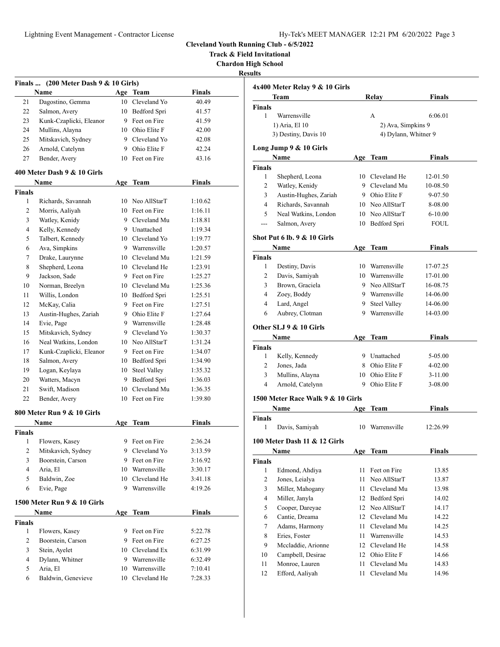**Track & Field Invitational**

**Chardon High School**

|                | Finals  (200 Meter Dash 9 & 10 Girls)<br><b>Name</b> |     | Age Team        | Finals        |
|----------------|------------------------------------------------------|-----|-----------------|---------------|
| 21             | Dagostino, Gemma                                     |     | 10 Cleveland Yo | 40.49         |
| 22             | Salmon, Avery                                        |     | 10 Bedford Spri | 41.57         |
| 23             | Kunk-Czaplicki, Eleanor                              |     | 9 Feet on Fire  | 41.59         |
| 24             | Mullins, Alayna                                      |     | 10 Ohio Elite F | 42.00         |
| 25             | Mitskavich, Sydney                                   |     | 9 Cleveland Yo  | 42.08         |
| 26             | Arnold, Catelynn                                     |     | 9 Ohio Elite F  | 42.24         |
| 27             | Bender, Avery                                        |     | 10 Feet on Fire | 43.16         |
|                |                                                      |     |                 |               |
|                | 400 Meter Dash 9 & 10 Girls<br>Name                  |     | Age Team        | Finals        |
| <b>Finals</b>  |                                                      |     |                 |               |
| 1              | Richards, Savannah                                   |     | 10 Neo AllStarT | 1:10.62       |
| 2              | Morris, Aaliyah                                      |     | 10 Feet on Fire | 1:16.11       |
| 3              | Watley, Kenidy                                       |     | 9 Cleveland Mu  | 1:18.81       |
| $\overline{4}$ | Kelly, Kennedy                                       |     | 9 Unattached    | 1:19.34       |
| 5              | Talbert, Kennedy                                     |     | 10 Cleveland Yo | 1:19.77       |
| 6              | Ava, Simpkins                                        |     | 9 Warrensville  | 1:20.57       |
| 7              | Drake, Laurynne                                      |     | 10 Cleveland Mu | 1:21.59       |
| 8              | Shepherd, Leona                                      |     | 10 Cleveland He | 1:23.91       |
| 9              | Jackson, Sade                                        |     | 9 Feet on Fire  | 1:25.27       |
| 10             | Norman, Breelyn                                      |     | 10 Cleveland Mu | 1:25.36       |
| 11             | Willis, London                                       |     | 10 Bedford Spri | 1:25.51       |
| 12             | McKay, Calia                                         |     | 9 Feet on Fire  | 1:27.51       |
| 13             | Austin-Hughes, Zariah                                |     | 9 Ohio Elite F  | 1:27.64       |
| 14             | Evie, Page                                           |     | 9 Warrensville  | 1:28.48       |
| 15             | Mitskavich, Sydney                                   |     | 9 Cleveland Yo  | 1:30.37       |
| 16             | Neal Watkins, London                                 |     | 10 Neo AllStarT | 1:31.24       |
| 17             | Kunk-Czaplicki, Eleanor                              |     | 9 Feet on Fire  | 1:34.07       |
| 18             | Salmon, Avery                                        |     | 10 Bedford Spri | 1:34.90       |
| 19             | Logan, Keylaya                                       |     | 10 Steel Valley | 1:35.32       |
| 20             | Watters, Macyn                                       |     | 9 Bedford Spri  | 1:36.03       |
| 21             | Swift, Madison                                       |     | 10 Cleveland Mu | 1:36.35       |
| 22             | Bender, Avery                                        |     | 10 Feet on Fire | 1:39.80       |
|                | 800 Meter Run 9 & 10 Girls                           |     |                 |               |
|                | Name                                                 | Age | Team            | <b>Finals</b> |
| Finals         |                                                      |     |                 |               |
| 1              | Flowers, Kasey                                       |     | 9 Feet on Fire  | 2:36.24       |
| $\mathbf{2}$   | Mitskavich, Sydney                                   | 9.  | Cleveland Yo    | 3:13.59       |
| 3              | Boorstein, Carson                                    |     | 9 Feet on Fire  | 3:16.92       |
| 4              | Aria, El                                             |     | 10 Warrensville | 3:30.17       |
| 5              | Baldwin, Zoe                                         |     | 10 Cleveland He | 3:41.18       |
| 6              | Evie, Page                                           |     | 9 Warrensville  | 4:19.26       |
|                | 1500 Meter Run 9 & 10 Girls                          |     |                 |               |
|                | Name                                                 | Age | <b>Team</b>     | <b>Finals</b> |
| <b>Finals</b>  |                                                      |     |                 |               |
| 1              | Flowers, Kasey                                       |     | 9 Feet on Fire  | 5:22.78       |
| $\mathbf{2}$   | Boorstein, Carson                                    |     | 9 Feet on Fire  | 6:27.25       |
| 3              | Stein, Ayelet                                        | 10  | Cleveland Ex    | 6:31.99       |
| 4              | Dylann, Whitner                                      |     | 9 Warrensville  | 6:32.49       |
| 5              | Aria, El                                             |     | 10 Warrensville | 7:10.41       |
| 6              | Baldwin, Genevieve                                   | 10  | Cleveland He    | 7:28.33       |
|                |                                                      |     |                 |               |

|                        | 4x400 Meter Relay 9 & 10 Girls         |    |                                   |                      |
|------------------------|----------------------------------------|----|-----------------------------------|----------------------|
|                        | Team                                   |    | Relay                             | <b>Finals</b>        |
| <b>Finals</b>          |                                        |    |                                   |                      |
| $\mathbf{1}$           | Warrensville                           |    | A                                 | 6:06.01              |
|                        | 1) Aria, El 10                         |    | 2) Ava, Simpkins 9                |                      |
|                        | 3) Destiny, Davis 10                   |    | 4) Dylann, Whitner 9              |                      |
|                        | Long Jump 9 & 10 Girls                 |    |                                   |                      |
|                        | Name                                   |    | Age Team                          | <b>Finals</b>        |
| <b>Finals</b>          |                                        |    |                                   |                      |
| 1<br>$\overline{2}$    | Shepherd, Leona                        |    | 10 Cleveland He<br>9 Cleveland Mu | 12-01.50             |
| 3                      | Watley, Kenidy                         |    | 9 Ohio Elite F                    | 10-08.50             |
| $\overline{4}$         | Austin-Hughes, Zariah                  |    | 10 Neo AllStarT                   | 9-07.50              |
| 5                      | Richards, Savannah                     |    |                                   | 8-08.00              |
|                        | Neal Watkins, London                   |    | 10 Neo AllStarT                   | $6 - 10.00$          |
| $\overline{a}$         | Salmon, Avery                          |    | 10 Bedford Spri                   | <b>FOUL</b>          |
|                        | <b>Shot Put 6 lb. 9 &amp; 10 Girls</b> |    |                                   |                      |
|                        | Name                                   |    | Age Team                          | <b>Finals</b>        |
| Finals<br>$\mathbf{1}$ |                                        |    | 10 Warrensville                   |                      |
| $\overline{2}$         | Destiny, Davis<br>Davis, Samiyah       |    | 10 Warrensville                   | 17-07.25<br>17-01.00 |
| 3                      | Brown, Graciela                        |    | 9 Neo AllStarT                    | 16-08.75             |
|                        |                                        |    | 9 Warrensville                    |                      |
| 4<br>$\overline{4}$    | Zoey, Boddy                            |    |                                   | 14-06.00             |
|                        | Lard, Angel                            |    | 9 Steel Valley<br>9 Warrensville  | 14-06.00             |
| 6                      | Aubrey, Clotman                        |    |                                   | 14-03.00             |
|                        | Other SLJ 9 & 10 Girls                 |    |                                   |                      |
|                        | <b>Name</b>                            |    | Age Team                          | <b>Finals</b>        |
| <b>Finals</b>          |                                        |    |                                   |                      |
| $\mathbf{1}$           | Kelly, Kennedy                         |    | 9 Unattached                      | 5-05.00              |
| 2                      | Jones, Jada                            |    | 8 Ohio Elite F                    | $4 - 02.00$          |
|                        |                                        |    |                                   |                      |
| 3                      | Mullins, Alayna                        |    | 10 Ohio Elite F                   | $3-11.00$            |
| 4                      | Arnold, Catelynn                       |    | 9 Ohio Elite F                    | 3-08.00              |
|                        | 1500 Meter Race Walk 9 & 10 Girls      |    |                                   |                      |
|                        | Name                                   |    | Age Team                          | <b>Finals</b>        |
| <b>Finals</b><br>1     |                                        |    | 10 Warrensville                   | 12:26.99             |
|                        | Davis, Samiyah                         |    |                                   |                      |
|                        | 100 Meter Dash 11 & 12 Girls<br>Name   |    |                                   | <b>Finals</b>        |
| <b>Finals</b>          |                                        |    | Age Team                          |                      |
| 1                      |                                        | 11 | Feet on Fire                      | 13.85                |
| $\overline{2}$         | Edmond, Ahdiya                         | 11 | Neo AllStarT                      |                      |
| 3                      | Jones, Leialya                         |    | 11 Cleveland Mu                   | 13.87                |
|                        | Miller, Mahogany                       |    |                                   |                      |
| 4                      | Miller, Janyla                         |    | 12 Bedford Spri                   | 13.98<br>14.02       |
| 5                      | Cooper, Dareyae                        |    | 12 Neo AllStarT                   | 14.17                |
| 6                      | Cantie, Dreama                         |    | 12 Cleveland Mu                   | 14.22                |
| 7                      | Adams, Harmony                         |    | 11 Cleveland Mu                   | 14.25                |
| 8                      | Eries, Foster                          | 11 | Warrensville                      | 14.53                |
| 9                      | Mccladdie, Arionne                     |    | 12 Cleveland He                   | 14.58                |
| 10<br>11               | Campbell, Desirae<br>Monroe, Lauren    | 11 | 12 Ohio Elite F<br>Cleveland Mu   | 14.66<br>14.83       |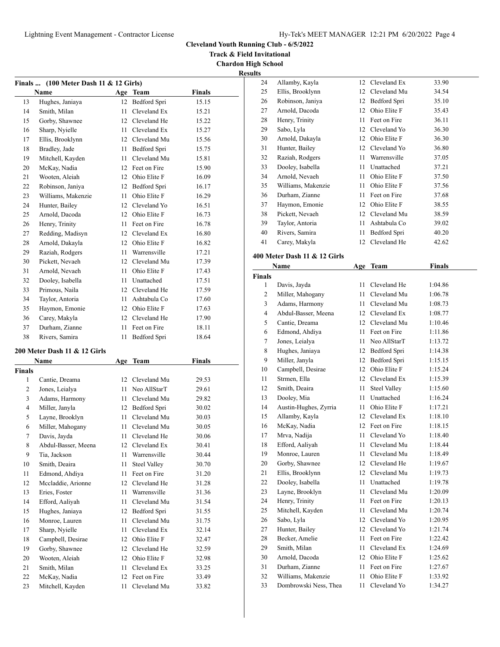Allamby, Kayla 12 Cleveland Ex 33.90

**Cleveland Youth Running Club - 6/5/2022**

**Track & Field Invitational**

**Chardon High School**

| 'sun<br>⊷. |
|------------|
|------------|

| <b>Finals</b> | (100 Meter Dash 11 & 12 Girls) |          |                     |                |
|---------------|--------------------------------|----------|---------------------|----------------|
|               | Name                           |          | Age Team            | <b>Finals</b>  |
| 13            | Hughes, Janiaya                | 12       | Bedford Spri        | 15.15          |
| 14            | Smith, Milan                   | 11       | Cleveland Ex        | 15.21          |
| 15            | Gorby, Shawnee                 |          | 12 Cleveland He     | 15.22          |
| 16            | Sharp, Nyielle                 |          | 11 Cleveland Ex     | 15.27          |
| 17            | Ellis, Brooklynn               |          | 12 Cleveland Mu     | 15.56          |
| 18            | Bradley, Jade                  | 11 -     | Bedford Spri        | 15.75          |
| 19            | Mitchell, Kayden               | 11 -     | Cleveland Mu        | 15.81          |
| 20            | McKay, Nadia                   |          | 12 Feet on Fire     | 15.90          |
| 21            | Wooten, Aleiah                 |          | 12 Ohio Elite F     | 16.09          |
| 22            | Robinson, Janiya               |          | 12 Bedford Spri     | 16.17          |
| 23            | Williams, Makenzie             |          | 11 Ohio Elite F     | 16.29          |
| 24            | Hunter, Bailey                 |          | 12 Cleveland Yo     | 16.51          |
| 25            | Arnold, Dacoda                 |          | 12 Ohio Elite F     | 16.73          |
| 26            | Henry, Trinity                 | 11       | Feet on Fire        | 16.78          |
| 27            | Redding, Madisyn               |          | 12 Cleveland Ex     | 16.80          |
| 28            | Arnold, Dakayla                |          | 12 Ohio Elite F     | 16.82          |
| 29            | Raziah, Rodgers                |          | 11 Warrensville     | 17.21          |
| 30            | Pickett, Nevaeh                |          | 12 Cleveland Mu     | 17.39          |
| 31            | Arnold, Nevaeh                 |          | 11 Ohio Elite F     | 17.43          |
| 32            | Dooley, Isabella               |          | 11 Unattached       | 17.51          |
| 33            | Primous, Naila                 |          | 12 Cleveland He     | 17.59          |
| 34            | Taylor, Antoria                |          | 11 Ashtabula Co     | 17.60          |
| 35            | Haymon, Emonie                 |          | 12 Ohio Elite F     | 17.63          |
| 36            | Carey, Makyla                  |          | 12 Cleveland He     | 17.90          |
| 37            | Durham, Zianne                 | 11       | Feet on Fire        | 18.11          |
| 38            | Rivers, Samira                 | 11       | Bedford Spri        | 18.64          |
|               |                                |          |                     |                |
|               | 200 Meter Dash 11 & 12 Girls   |          |                     | <b>Finals</b>  |
| <b>Finals</b> | Name                           |          | Age Team            |                |
| $\mathbf{1}$  | Cantie, Dreama                 |          | 12 Cleveland Mu     | 29.53          |
| 2             | Jones, Leialya                 |          | 11 Neo AllStarT     | 29.61          |
| 3             | Adams, Harmony                 |          | 11 Cleveland Mu     | 29.82          |
| 4             | Miller, Janyla                 |          | 12 Bedford Spri     | 30.02          |
| 5             | Layne, Brooklyn                |          | 11 Cleveland Mu     | 30.03          |
| 6             | Miller, Mahogany               | 11       | Cleveland Mu        | 30.05          |
| 7             | Davis, Jayda                   | 11       | Cleveland He        | 30.06          |
| 8             | Abdul-Basser, Meena            |          | 12 Cleveland Ex     | 30.41          |
| 9             | Tia, Jackson                   | 11       | Warrensville        | 30.44          |
|               | Smith, Deaira                  | 11       | <b>Steel Valley</b> |                |
| 10<br>11      | Edmond, Ahdiya                 | 11       | Feet on Fire        | 30.70<br>31.20 |
| 12            | Mccladdie, Arionne             |          | Cleveland He        |                |
| 13            | Eries, Foster                  | 12<br>11 | Warrensville        | 31.28          |
| 14            | Efford, Aaliyah                | 11       | Cleveland Mu        | 31.36<br>31.54 |
| 15            | Hughes, Janiaya                |          | Bedford Spri        | 31.55          |
| 16            | Monroe, Lauren                 | 12<br>11 | Cleveland Mu        |                |
| 17            | Sharp, Nyielle                 | 11       | Cleveland Ex        | 31.75          |
| 18            | Campbell, Desirae              | 12       | Ohio Elite F        | 32.14          |
| 19            | Gorby, Shawnee                 |          | 12 Cleveland He     | 32.47          |
|               | Wooten, Aleiah                 |          | 12 Ohio Elite F     | 32.59          |
| 20<br>21      | Smith, Milan                   |          | Cleveland Ex        | 32.98          |
| 22            | McKay, Nadia                   | 11       | Feet on Fire        | 33.25          |
| 23            |                                | 12<br>11 | Cleveland Mu        | 33.49          |
|               | Mitchell, Kayden               |          |                     | 33.82          |

| 25            | Ellis, Brooklynn             |      | 12 Cleveland Mu     | 34.54         |
|---------------|------------------------------|------|---------------------|---------------|
| 26            | Robinson, Janiya             | 12   | Bedford Spri        | 35.10         |
| 27            | Arnold, Dacoda               | 12   | Ohio Elite F        | 35.43         |
| 28            | Henry, Trinity               | 11   | Feet on Fire        | 36.11         |
| 29            | Sabo, Lyla                   | 12   | Cleveland Yo        | 36.30         |
| 30            | Arnold, Dakayla              |      | 12 Ohio Elite F     | 36.30         |
| 31            | Hunter, Bailey               |      | 12 Cleveland Yo     | 36.80         |
| 32            | Raziah, Rodgers              |      | 11 Warrensville     | 37.05         |
| 33            | Dooley, Isabella             |      | 11 Unattached       | 37.21         |
| 34            | Arnold, Nevaeh               | 11   | Ohio Elite F        | 37.50         |
| 35            | Williams, Makenzie           | 11   | Ohio Elite F        | 37.56         |
| 36            | Durham, Zianne               |      | 11 Feet on Fire     | 37.68         |
| 37            | Haymon, Emonie               |      | 12 Ohio Elite F     | 38.55         |
| 38            | Pickett, Nevaeh              |      | 12 Cleveland Mu     | 38.59         |
| 39            | Taylor, Antoria              | 11   | Ashtabula Co        | 39.02         |
| 40            | Rivers, Samira               | 11   | Bedford Spri        | 40.20         |
|               |                              | 12   | Cleveland He        |               |
| 41            | Carey, Makyla                |      |                     | 42.62         |
|               | 400 Meter Dash 11 & 12 Girls |      |                     |               |
|               | Name                         | Age  | <b>Team</b>         | <b>Finals</b> |
| <b>Finals</b> |                              |      |                     |               |
| 1             | Davis, Jayda                 | 11   | Cleveland He        | 1:04.86       |
| 2             | Miller, Mahogany             | 11 - | Cleveland Mu        | 1:06.78       |
| 3             | Adams, Harmony               | 11 - | Cleveland Mu        | 1:08.73       |
| 4             | Abdul-Basser, Meena          |      | 12 Cleveland Ex     | 1:08.77       |
| 5             | Cantie, Dreama               |      | 12 Cleveland Mu     | 1:10.46       |
| 6             | Edmond, Ahdiya               | 11   | Feet on Fire        | 1:11.86       |
| 7             | Jones, Leialya               | 11 - | Neo AllStarT        | 1:13.72       |
| 8             | Hughes, Janiaya              | 12   | Bedford Spri        | 1:14.38       |
| 9             | Miller, Janyla               | 12   | Bedford Spri        | 1:15.15       |
| 10            | Campbell, Desirae            | 12   | Ohio Elite F        | 1:15.24       |
| 11            | Strmen, Ella                 |      | 12 Cleveland Ex     | 1:15.39       |
| 12            | Smith, Deaira                | 11   | <b>Steel Valley</b> | 1:15.60       |
| 13            | Dooley, Mia                  | 11   | Unattached          | 1:16.24       |
| 14            | Austin-Hughes, Zyrria        | 11   | Ohio Elite F        | 1:17.21       |
| 15            | Allamby, Kayla               |      | 12 Cleveland Ex     | 1:18.10       |
| 16            | McKay, Nadia                 |      | 12 Feet on Fire     | 1:18.15       |
| 17            | Mrva, Nadija                 | 11   | Cleveland Yo        | 1:18.40       |
| 18            | Efford, Aaliyah              | 11   | Cleveland Mu        | 1:18.44       |
| 19            | Monroe, Lauren               |      | 11 Cleveland Mu     | 1:18.49       |
| 20            | Gorby, Shawnee               | 12   | Cleveland He        | 1:19.67       |
| 21            | Ellis, Brooklynn             | 12   | Cleveland Mu        | 1:19.73       |
| 22            | Dooley, Isabella             | 11   | Unattached          | 1:19.78       |
| 23            | Layne, Brooklyn              | 11   | Cleveland Mu        | 1:20.09       |
| 24            | Henry, Trinity               | 11   | Feet on Fire        | 1:20.13       |
| 25            | Mitchell, Kayden             | 11   | Cleveland Mu        | 1:20.74       |
| 26            | Sabo, Lyla                   | 12   | Cleveland Yo        | 1:20.95       |
| 27            | Hunter, Bailey               | 12   | Cleveland Yo        | 1:21.74       |
| 28            | Becker, Amelie               | 11   | Feet on Fire        | 1:22.42       |
| 29            | Smith, Milan                 | 11   | Cleveland Ex        | 1:24.69       |
|               | Arnold, Dacoda               | 12   | Ohio Elite F        |               |
| 30            | Durham, Zianne               |      | Feet on Fire        | 1:25.62       |
| 31            |                              | 11   |                     | 1:27.67       |
| 32            | Williams, Makenzie           | 11   | Ohio Elite F        | 1:33.92       |
| 33            | Dombrowski Ness, Thea        | 11   | Cleveland Yo        | 1:34.27       |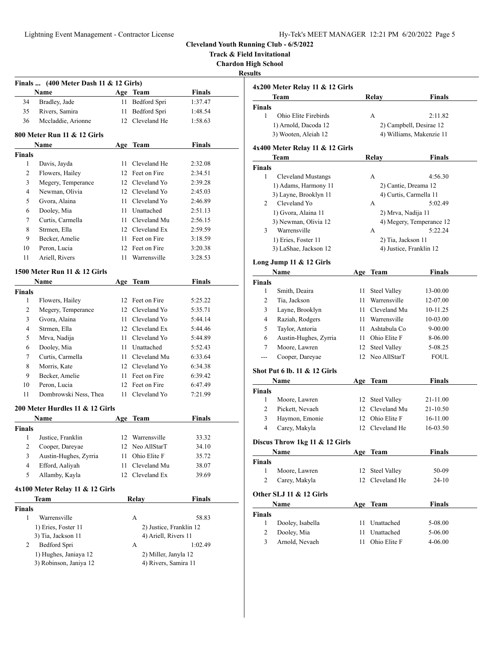**Track & Field Invitational**

**Chardon High School**

**Results**

|                    | Finals $(400$ Meter Dash 11 & 12 Girls)         |      |                                              |               |
|--------------------|-------------------------------------------------|------|----------------------------------------------|---------------|
|                    | Name                                            |      | Age Team                                     | <b>Finals</b> |
| 34                 | Bradley, Jade                                   | 11   | Bedford Spri                                 | 1:37.47       |
| 35                 | Rivers, Samira                                  | 11   | Bedford Spri                                 | 1:48.54       |
| 36                 | Mccladdie, Arionne                              |      | 12 Cleveland He                              | 1:58.63       |
|                    | 800 Meter Run 11 & 12 Girls                     |      |                                              |               |
|                    | Name                                            | Age  | Team                                         | <b>Finals</b> |
| <b>Finals</b>      |                                                 |      |                                              |               |
| $\mathbf{1}$       | Davis, Jayda                                    | 11 - | Cleveland He                                 | 2:32.08       |
| 2                  | Flowers, Hailey                                 |      | 12 Feet on Fire                              | 2:34.51       |
| 3                  | Megery, Temperance                              |      | 12 Cleveland Yo                              | 2:39.28       |
| 4                  | Newman, Olivia                                  |      | 12 Cleveland Yo                              | 2:45.03       |
| 5                  | Gvora, Alaina                                   |      | 11 Cleveland Yo                              | 2:46.89       |
| 6                  | Dooley, Mia                                     |      | 11 Unattached                                | 2:51.13       |
| 7                  | Curtis, Carmella                                |      | 11 Cleveland Mu                              | 2:56.15       |
| 8                  | Strmen, Ella                                    |      | 12 Cleveland Ex                              | 2:59.59       |
| 9                  | Becker, Amelie                                  |      | 11 Feet on Fire                              | 3:18.59       |
| 10                 | Peron, Lucia                                    |      | 12 Feet on Fire                              | 3:20.38       |
| 11                 | Ariell, Rivers                                  |      | 11 Warrensville                              | 3:28.53       |
|                    | 1500 Meter Run 11 & 12 Girls                    |      |                                              |               |
|                    | Name                                            |      | Age Team                                     | <b>Finals</b> |
| <b>Finals</b>      |                                                 |      |                                              |               |
| 1                  | Flowers, Hailey                                 |      | 12 Feet on Fire                              | 5:25.22       |
| 2                  | Megery, Temperance                              |      | 12 Cleveland Yo                              | 5:35.71       |
| 3                  | Gvora, Alaina                                   |      | 11 Cleveland Yo                              | 5:44.14       |
| 4                  | Strmen, Ella                                    |      | 12 Cleveland Ex                              | 5:44.46       |
| 5                  | Mrva, Nadija                                    |      | 11 Cleveland Yo                              | 5:44.89       |
| 6                  | Dooley, Mia                                     |      | 11 Unattached                                | 5:52.43       |
| 7                  | Curtis, Carmella                                |      | 11 Cleveland Mu                              | 6:33.64       |
| 8                  | Morris, Kate                                    |      | 12 Cleveland Yo                              | 6:34.38       |
| 9                  | Becker, Amelie                                  |      | 11 Feet on Fire                              | 6:39.42       |
| 10                 | Peron, Lucia                                    |      | 12 Feet on Fire                              | 6:47.49       |
| 11                 | Dombrowski Ness, Thea                           |      | 11 Cleveland Yo                              | 7:21.99       |
|                    | 200 Meter Hurdles 11 & 12 Girls                 |      |                                              |               |
|                    | Name                                            |      | Age Team                                     | Finals        |
| Finals             |                                                 |      |                                              |               |
|                    | 1 Justice, Franklin                             |      | 12 Warrensville                              | 33.32         |
| 2                  | Cooper, Dareyae                                 | 12   | Neo AllStarT                                 | 34.10         |
| 3                  | Austin-Hughes, Zyrria                           | 11   | Ohio Elite F                                 | 35.72         |
| 4                  | Efford, Aaliyah                                 | 11   | Cleveland Mu                                 | 38.07         |
| 5                  | Allamby, Kayla                                  | 12   | Cleveland Ex                                 | 39.69         |
|                    |                                                 |      |                                              |               |
|                    | $4x100$ Meter Relay 11 & 12 Girls               |      |                                              |               |
|                    | Team                                            |      | <b>Relay</b>                                 | Finals        |
| <b>Finals</b><br>1 | Warrensville                                    |      | А                                            | 58.83         |
|                    | 1) Eries, Foster 11                             |      | 2) Justice, Franklin 12                      |               |
|                    | 3) Tia, Jackson 11                              |      | 4) Ariell, Rivers 11                         |               |
|                    |                                                 |      |                                              |               |
|                    |                                                 |      |                                              |               |
| 2                  | Bedford Spri                                    |      | А                                            | 1:02.49       |
|                    | 1) Hughes, Janiaya 12<br>3) Robinson, Janiya 12 |      | 2) Miller, Janyla 12<br>4) Rivers, Samira 11 |               |

|                                      | 4x200 Meter Relay 11 & 12 Girls |          |                            |                    |
|--------------------------------------|---------------------------------|----------|----------------------------|--------------------|
|                                      | Team                            |          | Relay                      | <b>Finals</b>      |
| <b>Finals</b>                        |                                 |          |                            |                    |
| 1                                    | Ohio Elite Firebirds            |          | A                          | 2:11.82            |
|                                      | 1) Arnold, Dacoda 12            |          | 2) Campbell, Desirae 12    |                    |
|                                      | 3) Wooten, Aleiah 12            |          | 4) Williams, Makenzie 11   |                    |
|                                      | 4x400 Meter Relay 11 & 12 Girls |          |                            |                    |
|                                      | Team                            |          | Relay                      | Finals             |
| <b>Finals</b>                        |                                 |          |                            |                    |
| 1                                    | <b>Cleveland Mustangs</b>       |          | А                          | 4:56.30            |
|                                      | 1) Adams, Harmony 11            |          | 2) Cantie, Dreama 12       |                    |
|                                      | 3) Layne, Brooklyn 11           |          | 4) Curtis, Carmella 11     |                    |
| 2                                    | Cleveland Yo                    |          | А                          | 5:02.49            |
|                                      | 1) Gvora, Alaina 11             |          | 2) Mrva, Nadija 11         |                    |
|                                      | 3) Newman, Olivia 12            |          | 4) Megery, Temperance 12   |                    |
| 3                                    | Warrensville                    |          | А                          | 5:22.24            |
|                                      | 1) Eries, Foster 11             |          | 2) Tia, Jackson 11         |                    |
|                                      | 3) LaShae, Jackson 12           |          | 4) Justice, Franklin 12    |                    |
|                                      | Long Jump 11 $&$ 12 Girls       |          |                            |                    |
|                                      | Name                            | Age      | Team                       | <b>Finals</b>      |
| <b>Finals</b>                        |                                 |          |                            |                    |
| 1                                    | Smith, Deaira                   | 11       | <b>Steel Valley</b>        | 13-00.00           |
| 2                                    | Tia, Jackson                    |          | 11 Warrensville            | 12-07.00           |
| 3                                    | Layne, Brooklyn                 |          | 11 Cleveland Mu            | 10-11.25           |
| 4                                    | Raziah, Rodgers                 |          | 11 Warrensville            | 10-03.00           |
| 5                                    | Taylor, Antoria                 |          | 11 Ashtabula Co            | 9-00.00            |
| 6                                    | Austin-Hughes, Zyrria           |          | 11 Ohio Elite F            | 8-06.00            |
| 7                                    | Moore, Lawren                   | 12       | <b>Steel Valley</b>        | 5-08.25            |
| .                                    | Cooper, Dareyae                 | 12       | Neo AllStarT               | FOUL               |
|                                      | Shot Put 6 lb. 11 & 12 Girls    |          |                            |                    |
|                                      | Name                            |          | Age Team                   | <b>Finals</b>      |
| <b>Finals</b>                        |                                 |          |                            |                    |
| 1                                    | Moore, Lawren                   | 12       | <b>Steel Valley</b>        | 21-11.00           |
| 2                                    | Pickett, Nevaeh                 |          | 12 Cleveland Mu            | 21-10.50           |
| 3                                    | Haymon, Emonie                  |          | 12 Ohio Elite F            | 16-11.00           |
| 4                                    | Carey, Makyla                   | 12       | Cleveland He               | 16-03.50           |
|                                      | Discus Throw 1kg 11 & 12 Girls  |          |                            |                    |
|                                      | Name                            |          | Age Team                   | Finals             |
| Finals                               |                                 |          |                            |                    |
|                                      | Moore, Lawren                   | 12       | <b>Steel Valley</b>        | 50-09              |
| 1                                    |                                 |          | 12 Cleveland He            | 24-10              |
| 2                                    | Carey, Makyla                   |          |                            |                    |
|                                      | Other SLJ 11 & 12 Girls         |          |                            |                    |
|                                      | Name                            | Age      | <b>Team</b>                | <b>Finals</b>      |
|                                      |                                 |          |                            |                    |
| 1                                    | Dooley, Isabella                | 11       | Unattached                 | 5-08.00            |
| <b>Finals</b><br>$\overline{c}$<br>3 | Dooley, Mia<br>Arnold, Nevaeh   | 11<br>11 | Unattached<br>Ohio Elite F | 5-06.00<br>4-06.00 |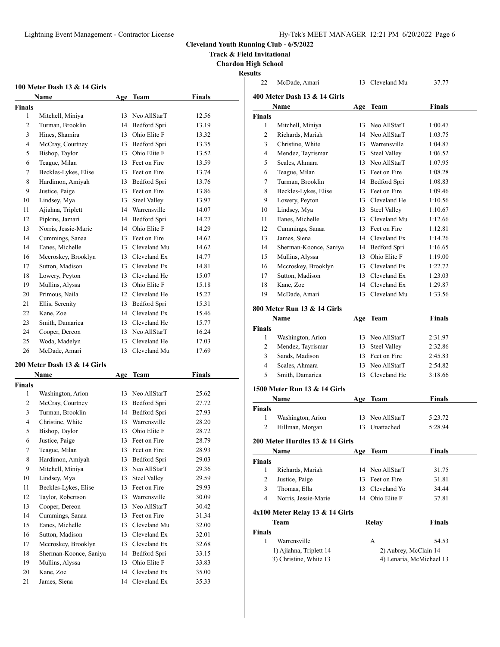**Track & Field Invitational**

**Chardon High School**

|             | 100 Meter Dash 13 & 14 Girls         |          |                              |                |
|-------------|--------------------------------------|----------|------------------------------|----------------|
|             | Name                                 | Age      | Team                         | Finals         |
| Finals<br>1 |                                      | 13       | Neo AllStarT                 | 12.56          |
| 2           | Mitchell, Miniya<br>Turman, Brooklin | 14       | Bedford Spri                 | 13.19          |
| 3           | Hines, Shamira                       | 13       | Ohio Elite F                 | 13.32          |
| 4           | McCray, Courtney                     | 13       | Bedford Spri                 | 13.35          |
| 5           | Bishop, Taylor                       | 13       | Ohio Elite F                 | 13.52          |
| 6           | Teague, Milan                        | 13       | Feet on Fire                 | 13.59          |
| 7           | Beckles-Lykes, Elise                 | 13       | Feet on Fire                 | 13.74          |
| 8           | Hardimon, Amiyah                     | 13       | Bedford Spri                 | 13.76          |
| 9           | Justice, Paige                       | 13       | Feet on Fire                 | 13.86          |
| 10          | Lindsey, Mya                         | 13       | <b>Steel Valley</b>          | 13.97          |
| 11          | Ajiahna, Triplett                    | 14       | Warrensville                 | 14.07          |
| 12          | Pipkins, Jamari                      | 14       | Bedford Spri                 | 14.27          |
| 13          | Norris, Jessie-Marie                 | 14       | Ohio Elite F                 | 14.29          |
| 14          | Cummings, Sanaa                      | 13       | Feet on Fire                 | 14.62          |
| 14          | Eanes, Michelle                      | 13       | Cleveland Mu                 | 14.62          |
|             |                                      |          | Cleveland Ex                 |                |
| 16<br>17    | Mccroskey, Brooklyn                  | 13<br>13 | Cleveland Ex                 | 14.77          |
|             | Sutton, Madison                      | 13       | Cleveland He                 | 14.81          |
| 18          | Lowery, Peyton                       |          | Ohio Elite F                 | 15.07          |
| 19          | Mullins, Alyssa<br>Primous, Naila    | 13<br>12 |                              | 15.18          |
| 20          |                                      |          | Cleveland He                 | 15.27<br>15.31 |
| 21          | Ellis, Serenity                      | 13       | Bedford Spri                 |                |
| 22          | Kane, Zoe                            | 14       | Cleveland Ex                 | 15.46          |
| 23          | Smith, Damariea                      | 13       | Cleveland He                 | 15.77          |
| 24          | Cooper, Dereon                       | 13       | Neo AllStarT                 | 16.24          |
| 25          | Woda, Madelyn                        | 13       | Cleveland He<br>Cleveland Mu | 17.03          |
| 26          | McDade, Amari                        | 13       |                              | 17.69          |
|             | 200 Meter Dash 13 & 14 Girls         |          |                              |                |
|             | Name                                 |          | Age Team                     | Finals         |
| Finals<br>1 | Washington, Arion                    | 13       | Neo AllStarT                 | 25.62          |
| 2           | McCray, Courtney                     | 13       | Bedford Spri                 | 27.72          |
| 3           | Turman, Brooklin                     | 14       | Bedford Spri                 | 27.93          |
| 4           | Christine, White                     | 13       | Warrensville                 | 28.20          |
| 5           | Bishop, Taylor                       | 13       | Ohio Elite F                 | 28.72          |
| 6           | Justice, Paige                       |          | 13 Feet on Fire              | 28.79          |
| 7           | Teague, Milan                        | 13       | Feet on Fire                 | 28.93          |
| 8           | Hardimon, Amiyah                     | 13       | Bedford Spri                 | 29.03          |
| 9           | Mitchell, Miniya                     | 13       | Neo AllStarT                 | 29.36          |
| 10          | Lindsey, Mya                         | 13       | <b>Steel Valley</b>          | 29.59          |
| 11          | Beckles-Lykes, Elise                 | 13       | Feet on Fire                 | 29.93          |
| 12          | Taylor, Robertson                    | 13       | Warrensville                 | 30.09          |
| 13          | Cooper, Dereon                       | 13       | Neo AllStarT                 | 30.42          |
| 14          | Cummings, Sanaa                      | 13       | Feet on Fire                 | 31.34          |
| 15          | Eanes, Michelle                      | 13       | Cleveland Mu                 | 32.00          |
| 16          | Sutton, Madison                      | 13       | Cleveland Ex                 | 32.01          |
| 17          | Mccroskey, Brooklyn                  | 13       | Cleveland Ex                 | 32.68          |
| 18          | Sherman-Koonce, Saniya               | 14       | Bedford Spri                 | 33.15          |
| 19          | Mullins, Alyssa                      | 13       | Ohio Elite F                 | 33.83          |
| 20          | Kane, Zoe                            | 14       | Cleveland Ex                 | 35.00          |
| 21          | James, Siena                         | 14       | Cleveland Ex                 | 35.33          |
|             |                                      |          |                              |                |

| <b>Results</b> |                                                   |                                                   |               |
|----------------|---------------------------------------------------|---------------------------------------------------|---------------|
| 22             | McDade, Amari                                     | 13 Cleveland Mu                                   | 37.77         |
|                | 400 Meter Dash 13 & 14 Girls                      |                                                   |               |
|                | Name                                              | Age Team                                          | Finals        |
| <b>Finals</b>  |                                                   |                                                   |               |
| 1              | Mitchell, Miniya                                  | 13 Neo AllStarT                                   | 1:00.47       |
| $\overline{2}$ | Richards, Mariah                                  | 14 Neo AllStarT                                   | 1:03.75       |
| 3              | Christine, White                                  | 13 Warrensville                                   | 1:04.87       |
| 4              | Mendez, Tayrismar                                 | 13 Steel Valley                                   | 1:06.52       |
| 5              | Scales, Ahmara                                    | 13 Neo AllStarT                                   | 1:07.95       |
| 6              | Teague, Milan                                     | 13 Feet on Fire                                   | 1:08.28       |
| 7              | Turman, Brooklin                                  | 14 Bedford Spri                                   | 1:08.83       |
| 8              | Beckles-Lykes, Elise                              | 13 Feet on Fire                                   | 1:09.46       |
| 9              | Lowery, Peyton                                    | 13 Cleveland He                                   | 1:10.56       |
| 10             | Lindsey, Mya                                      | 13 Steel Valley                                   | 1:10.67       |
| 11             | Eanes, Michelle                                   | 13 Cleveland Mu                                   | 1:12.66       |
| 12             | Cummings, Sanaa                                   | 13 Feet on Fire                                   | 1:12.81       |
| 13             | James, Siena                                      | 14 Cleveland Ex                                   | 1:14.26       |
| 14             | Sherman-Koonce, Saniya                            | 14 Bedford Spri                                   | 1:16.65       |
| 15             | Mullins, Alyssa                                   | 13 Ohio Elite F                                   | 1:19.00       |
| 16             | Mccroskey, Brooklyn                               | 13 Cleveland Ex                                   | 1:22.72       |
| 17             | Sutton, Madison                                   | 13 Cleveland Ex                                   | 1:23.03       |
| 18             | Kane, Zoe                                         | 14 Cleveland Ex                                   | 1:29.87       |
| 19             | McDade, Amari                                     | 13 Cleveland Mu                                   | 1:33.56       |
| Finals         | 800 Meter Run 13 & 14 Girls<br>Name               | Age Team                                          | <b>Finals</b> |
| 1              | Washington, Arion                                 | 13 Neo AllStarT                                   | 2:31.97       |
| $\overline{2}$ | Mendez, Tayrismar                                 | 13 Steel Valley                                   | 2:32.86       |
| 3              | Sands, Madison                                    | 13 Feet on Fire                                   | 2:45.83       |
| 4              | Scales, Ahmara                                    | 13 Neo AllStarT                                   | 2:54.82       |
| 5              | Smith, Damariea                                   | 13 Cleveland He                                   | 3:18.66       |
|                | 1500 Meter Run 13 & 14 Girls                      |                                                   |               |
|                | Name                                              | Age Team                                          | <b>Finals</b> |
| <b>Finals</b>  |                                                   |                                                   |               |
| 1              | Washington, Arion                                 | 13 Neo AllStarT                                   | 5:23.72       |
| 2              | Hillman, Morgan                                   | 13 Unattached                                     | 5:28.94       |
|                | 200 Meter Hurdles 13 & 14 Girls                   |                                                   |               |
|                | Name                                              | Age Team                                          | <b>Finals</b> |
| <b>Finals</b>  |                                                   |                                                   |               |
| 1              | Richards, Mariah                                  | 14 Neo AllStarT                                   | 31.75         |
| $\overline{c}$ | Justice, Paige                                    | 13 Feet on Fire                                   | 31.81         |
|                |                                                   | 13 Cleveland Yo                                   |               |
| 3              | Thomas, Ella                                      |                                                   | 34.44         |
| 4              | Norris, Jessie-Marie                              | 14 Ohio Elite F                                   | 37.81         |
|                | $4x100$ Meter Relay 13 & 14 Girls                 |                                                   |               |
|                | Team                                              | Relay                                             | <b>Finals</b> |
| <b>Finals</b>  |                                                   |                                                   |               |
| 1              | Warrensville                                      | A                                                 | 54.53         |
|                | 1) Ajiahna, Triplett 14<br>3) Christine, White 13 | 2) Aubrey, McClain 14<br>4) Lenaria, McMichael 13 |               |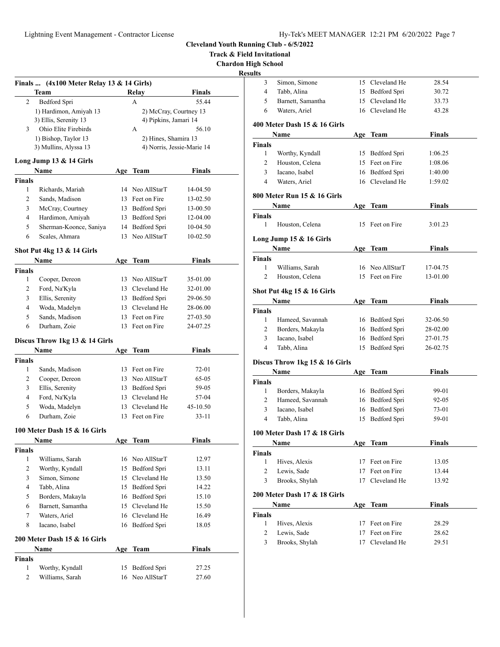**Track & Field Invitational**

**Chardon High School**

|                   | Finals $(4x100$ Meter Relay 13 & 14 Girls) |          |                              |                            |  |
|-------------------|--------------------------------------------|----------|------------------------------|----------------------------|--|
|                   | Team                                       |          | Relay                        | <b>Finals</b>              |  |
| 2                 | Bedford Spri                               |          | A                            | 55.44                      |  |
|                   | 1) Hardimon, Amiyah 13                     |          |                              | 2) McCray, Courtney 13     |  |
|                   | 3) Ellis, Serenity 13                      |          | 4) Pipkins, Jamari 14        |                            |  |
| 3                 | Ohio Elite Firebirds                       |          | А                            | 56.10                      |  |
|                   | 1) Bishop, Taylor 13                       |          | 2) Hines, Shamira 13         |                            |  |
|                   | 3) Mullins, Alyssa 13                      |          |                              | 4) Norris, Jessie-Marie 14 |  |
|                   | Long Jump 13 & 14 Girls                    |          |                              |                            |  |
|                   | Name                                       |          | Age Team                     | <b>Finals</b>              |  |
| <b>Finals</b>     |                                            |          |                              |                            |  |
| 1                 | Richards, Mariah                           |          | 14 Neo AllStarT              | 14-04.50                   |  |
| 2                 | Sands, Madison                             |          | 13 Feet on Fire              | 13-02.50                   |  |
| 3                 | McCray, Courtney                           | 13       | Bedford Spri                 | 13-00.50                   |  |
| 4                 | Hardimon, Amiyah                           | 13       | Bedford Spri                 | 12-04.00                   |  |
| 5                 | Sherman-Koonce, Saniya                     | 14       | Bedford Spri                 | 10-04.50                   |  |
| 6                 | Scales, Ahmara                             | 13       | Neo AllStarT                 | 10-02.50                   |  |
|                   |                                            |          |                              |                            |  |
|                   | Shot Put 4kg 13 & 14 Girls                 |          |                              |                            |  |
|                   | Name                                       | Age      | Team                         | Finals                     |  |
| <b>Finals</b>     |                                            |          |                              |                            |  |
| 1                 | Cooper, Dereon                             |          | 13 Neo AllStarT              | 35-01.00                   |  |
| 2                 | Ford, Na'Kyla                              |          | 13 Cleveland He              | 32-01.00                   |  |
| 3                 | Ellis, Serenity                            |          | 13 Bedford Spri              | 29-06.50                   |  |
| 4                 | Woda, Madelyn                              |          | 13 Cleveland He              | 28-06.00                   |  |
| 5                 | Sands, Madison                             |          | 13 Feet on Fire              | 27-03.50                   |  |
| 6                 | Durham, Zoie                               | 13       | Feet on Fire                 | 24-07.25                   |  |
|                   | Discus Throw 1kg 13 & 14 Girls             |          |                              |                            |  |
|                   | Name                                       | Age      | Team                         | <b>Finals</b>              |  |
| <b>Finals</b>     |                                            |          |                              |                            |  |
| 1                 | Sands, Madison                             |          | 13 Feet on Fire              | 72-01                      |  |
| 2                 | Cooper, Dereon                             |          | 13 Neo AllStarT              | 65-05                      |  |
| 3                 | Ellis, Serenity                            |          | 13 Bedford Spri              | 59-05                      |  |
| 4                 | Ford, Na'Kyla                              |          | 13 Cleveland He              | 57-04                      |  |
| 5                 | Woda, Madelyn                              |          | 13 Cleveland He              | 45-10.50                   |  |
| 6                 | Durham, Zoie                               | 13       | Feet on Fire                 | 33-11                      |  |
|                   | 100 Meter Dash 15 & 16 Girls               |          |                              |                            |  |
|                   | Name                                       | Δ σρ     | <b>Team</b>                  | Finals                     |  |
| Finals            |                                            |          |                              |                            |  |
| 1                 | Williams, Sarah                            | 16       | Neo AllStarT                 | 12.97                      |  |
| 2                 | Worthy, Kyndall                            | 15       | Bedford Spri                 | 13.11                      |  |
| 3                 | Simon, Simone                              | 15       | Cleveland He                 | 13.50                      |  |
| 4                 | Tabb, Alina                                | 15       | Bedford Spri                 | 14.22                      |  |
| 5                 | Borders, Makayla                           | 16       | Bedford Spri                 | 15.10                      |  |
| 6                 | Barnett, Samantha                          | 15       | Cleveland He                 | 15.50                      |  |
| 7                 | Waters, Ariel                              | 16       | Cleveland He                 | 16.49                      |  |
| 8                 | Iacano, Isabel                             | 16       | Bedford Spri                 | 18.05                      |  |
|                   |                                            |          |                              |                            |  |
|                   | 200 Meter Dash 15 & 16 Girls               |          |                              |                            |  |
|                   |                                            |          |                              |                            |  |
|                   | <b>Name</b>                                | Age      | <b>Team</b>                  | <b>Finals</b>              |  |
| Finals            |                                            |          |                              |                            |  |
| $\mathbf{1}$<br>2 | Worthy, Kyndall<br>Williams, Sarah         | 15<br>16 | Bedford Spri<br>Neo AllStarT | 27.25<br>27.60             |  |

| <b>Results</b> |                                |    |                                    |                |
|----------------|--------------------------------|----|------------------------------------|----------------|
| 3              | Simon, Simone                  |    | 15 Cleveland He                    | 28.54          |
| 4              | Tabb, Alina                    |    | 15 Bedford Spri                    | 30.72          |
| 5              | Barnett, Samantha              |    | 15 Cleveland He                    | 33.73          |
| 6              | Waters, Ariel                  |    | 16 Cleveland He                    | 43.28          |
|                | 400 Meter Dash 15 & 16 Girls   |    |                                    |                |
|                | Name                           |    | Age Team                           | <b>Finals</b>  |
| <b>Finals</b>  |                                |    |                                    |                |
| 1              | Worthy, Kyndall                |    | 15 Bedford Spri                    | 1:06.25        |
| 2              | Houston, Celena                |    | 15 Feet on Fire                    | 1:08.06        |
| 3              | Iacano, Isabel                 |    | 16 Bedford Spri                    | 1:40.00        |
| 4              | Waters, Ariel                  |    | 16 Cleveland He                    | 1:59.02        |
|                | 800 Meter Run 15 & 16 Girls    |    |                                    |                |
|                | Name                           |    | Age Team                           | <b>Finals</b>  |
| <b>Finals</b>  |                                |    |                                    |                |
| 1              | Houston, Celena                |    | 15 Feet on Fire                    | 3:01.23        |
|                | Long Jump $15 & 16$ Girls      |    |                                    |                |
|                | Name                           |    | Age Team                           | <b>Finals</b>  |
| Finals         |                                |    |                                    |                |
| 1              | Williams, Sarah                |    | 16 Neo AllStarT                    | 17-04.75       |
| 2              | Houston, Celena                |    | 15 Feet on Fire                    | 13-01.00       |
|                | Shot Put 4kg 15 & 16 Girls     |    |                                    |                |
|                | Name                           |    | Age Team                           | Finals         |
| Finals         |                                |    |                                    |                |
| 1              | Hameed, Savannah               |    | 16 Bedford Spri                    | 32-06.50       |
| 2              | Borders, Makayla               |    | 16 Bedford Spri                    | 28-02.00       |
| 3              | Iacano, Isabel                 |    | 16 Bedford Spri                    | 27-01.75       |
| 4              | Tabb, Alina                    |    | 15 Bedford Spri                    | 26-02.75       |
|                | Discus Throw 1kg 15 & 16 Girls |    |                                    |                |
|                | Name                           |    | Age Team                           | <b>Finals</b>  |
| <b>Finals</b>  |                                |    |                                    |                |
| 1              | Borders, Makayla               |    | 16 Bedford Spri                    | 99-01          |
| 2              | Hameed, Savannah               | 16 | Bedford Spri                       | 92-05          |
|                | Iacano, Isabel                 | 16 | Bedford Spri                       | 73-01          |
| 3              |                                |    |                                    |                |
| 4              | Tabb, Alina                    | 15 | Bedford Spri                       | 59-01          |
|                | 100 Meter Dash 17 & 18 Girls   |    |                                    |                |
|                | Name                           |    | Age Team                           | <b>Finals</b>  |
| Finals         |                                |    |                                    |                |
| 1              | Hives, Alexis                  | 17 | Feet on Fire                       | 13.05          |
| 2              | Lewis, Sade                    | 17 | Feet on Fire                       | 13.44          |
| 3              | Brooks, Shylah                 | 17 | Cleveland He                       | 13.92          |
|                | 200 Meter Dash 17 & 18 Girls   |    |                                    |                |
|                | Name                           |    | Age Team                           | Finals         |
| <b>Finals</b>  |                                |    |                                    |                |
| 1              | Hives, Alexis                  |    | 17 Feet on Fire                    | 28.29          |
| 2<br>3         | Lewis, Sade<br>Brooks, Shylah  |    | 17 Feet on Fire<br>17 Cleveland He | 28.62<br>29.51 |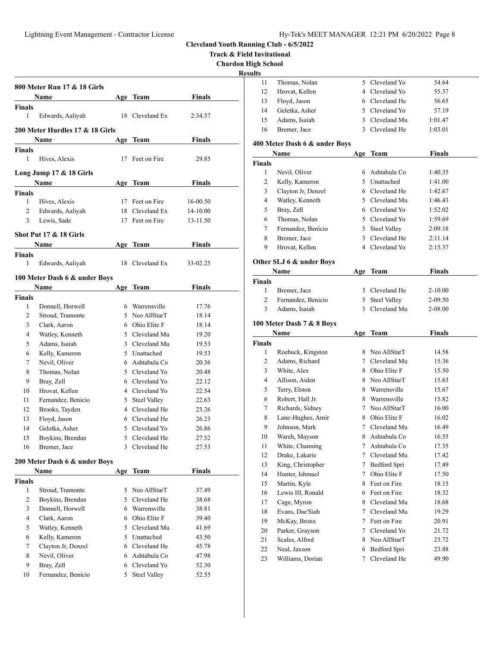**Track & Field Invitational**

**Chardon High School**

**Results**

|                  |                                         |     |                     |               | Chardon<br>R |
|------------------|-----------------------------------------|-----|---------------------|---------------|--------------|
|                  | 800 Meter Run 17 & 18 Girls             |     |                     |               |              |
|                  | Name                                    |     | Age Team            | <b>Finals</b> |              |
| Finals           |                                         |     |                     |               |              |
| 1                | Edwards, Aaliyah                        | 18  | Cleveland Ex        | 2:34.57       |              |
|                  | 200 Meter Hurdles 17 & 18 Girls<br>Name | Age | Team                | Finals        |              |
| Finals           |                                         |     |                     |               |              |
| 1                | Hives, Alexis                           |     | 17 Feet on Fire     | 29.85         |              |
|                  | Long Jump 17 & 18 Girls                 |     |                     |               |              |
|                  | Name                                    |     | Age Team            | <b>Finals</b> |              |
| Finals           |                                         |     |                     |               |              |
| 1                | Hives, Alexis                           |     | 17 Feet on Fire     | 16-00.50      |              |
| 2                | Edwards, Aaliyah                        |     | 18 Cleveland Ex     | 14-10.00      |              |
| 3                | Lewis, Sade                             | 17  | Feet on Fire        | 13-11.50      |              |
|                  | Shot Put 17 & 18 Girls                  |     |                     |               |              |
|                  | Name                                    | Age | Team                | Finals        |              |
| Finals           |                                         |     |                     |               |              |
| 1                | Edwards, Aaliyah                        | 18  | Cleveland Ex        | 33-02.25      |              |
|                  | 100 Meter Dash 6 & under Boys           |     |                     |               |              |
|                  | Name                                    | Age | Team                | <b>Finals</b> |              |
| Finals           |                                         |     |                     |               |              |
| 1                | Donnell, Horwell                        |     | 6 Warrensville      | 17.76         |              |
| 2                | Stroud, Tramonte                        |     | 5 Neo AllStarT      | 18.14         |              |
| 3                | Clark, Aaron                            |     | 6 Ohio Elite F      | 18.14         |              |
| 4                | Watley, Kenneth                         |     | 5 Cleveland Mu      | 19.20         |              |
| 5                | Adams, Isaiah                           |     | 3 Cleveland Mu      | 19.53         |              |
| 6                | Kelly, Kameron                          |     | 5 Unattached        | 19.53         |              |
| 7                | Nevil, Oliver                           |     | 6 Ashtabula Co      | 20.36         |              |
| 8                | Thomas, Nolan                           |     | 5 Cleveland Yo      | 20.48         |              |
| 9                | Bray, Zell                              |     | 6 Cleveland Yo      | 22.12         |              |
| 10               | Hrovat, Kellen                          |     | 4 Cleveland Yo      | 22.54         |              |
| 11               | Fernandez, Benicio                      |     | 5 Steel Valley      | 22.63         |              |
| 12               | Brooks, Tayden                          |     | 4 Cleveland He      | 23.26         |              |
| 13               | Floyd, Jason                            |     | 6 Cleveland He      | 26.23         |              |
| 14               | Geletka, Asher                          |     | 5 Cleveland Yo      | 26.86         |              |
| 15               | Boykins, Brendan                        | 5   | Cleveland He        | 27.52         |              |
| 16               | Bremer, Jace                            | 3   | Cleveland He        | 27.53         |              |
|                  | 200 Meter Dash 6 & under Boys           |     |                     |               |              |
|                  | Name                                    | Age | Team                | <b>Finals</b> |              |
| Finals           |                                         |     |                     |               |              |
| 1                | Stroud, Tramonte                        | 5   | Neo AllStarT        | 37.49         |              |
| $\boldsymbol{2}$ | Boykins, Brendan                        |     | 5 Cleveland He      | 38.68         |              |
| 3                | Donnell, Horwell                        |     | 6 Warrensville      | 38.81         |              |
| 4                | Clark, Aaron                            | 6   | Ohio Elite F        | 39.40         |              |
| 5                | Watley, Kenneth                         |     | 5 Cleveland Mu      | 41.69         |              |
| 6                | Kelly, Kameron                          |     | 5 Unattached        | 43.50         |              |
| 7                | Clayton Jr, Denzel                      |     | 6 Cleveland He      | 45.78         |              |
| 8                | Nevil, Oliver                           |     | 6 Ashtabula Co      | 47.98         |              |
| 9                | Bray, Zell                              | 6   | Cleveland Yo        | 52.30         |              |
| 10               | Fernandez, Benicio                      | 5   | <b>Steel Valley</b> | 52.55         |              |
|                  |                                         |     |                     |               |              |

| uns           |                               |                |                     |               |  |
|---------------|-------------------------------|----------------|---------------------|---------------|--|
| 11            | Thomas, Nolan                 | 5              | Cleveland Yo        | 54.64         |  |
| 12            | Hrovat, Kellen                | 4              | Cleveland Yo        | 55.37         |  |
| 13            | Floyd, Jason                  | 6              | Cleveland He        | 56.65         |  |
| 14            | Geletka, Asher                | 5              | Cleveland Yo        | 57.19         |  |
| 15            | Adams, Isaiah                 | 3              | Cleveland Mu        | 1:01.47       |  |
| 16            | Bremer, Jace                  |                | 3 Cleveland He      | 1:03.01       |  |
|               |                               |                |                     |               |  |
|               | 400 Meter Dash 6 & under Boys |                |                     |               |  |
|               | Name                          |                | Age Team            | <b>Finals</b> |  |
| Finals        |                               |                |                     |               |  |
| 1             | Nevil, Oliver                 | 6              | Ashtabula Co        | 1:40.35       |  |
| 2             | Kelly, Kameron                |                | 5 Unattached        | 1:41.00       |  |
| 3             | Clayton Jr, Denzel            |                | 6 Cleveland He      | 1:42.67       |  |
| 4             | Watley, Kenneth               |                | 5 Cleveland Mu      | 1:46.43       |  |
| 5             | Bray, Zell                    |                | 6 Cleveland Yo      | 1:52.02       |  |
| 6             | Thomas, Nolan                 | 5              | Cleveland Yo        | 1:59.69       |  |
| 7             | Fernandez, Benicio            | 5              | <b>Steel Valley</b> | 2:09.18       |  |
| 8             | Bremer, Jace                  | 3              | Cleveland He        | 2:11.14       |  |
| 9             | Hrovat, Kellen                |                | 4 Cleveland Yo      | 2:15.37       |  |
|               | Other SLJ 6 & under Boys      |                |                     |               |  |
|               | Name                          |                | Age Team            | <b>Finals</b> |  |
| <b>Finals</b> |                               |                |                     |               |  |
| 1             | Bremer, Jace                  | 3              | Cleveland He        | 2-10.00       |  |
| 2             | Fernandez, Benicio            | 5              | <b>Steel Valley</b> | 2-09.50       |  |
| 3             | Adams, Isaiah                 | $\mathbf{3}$   | Cleveland Mu        | 2-08.00       |  |
|               |                               |                |                     |               |  |
|               |                               |                |                     |               |  |
|               | 100 Meter Dash 7 & 8 Boys     |                |                     |               |  |
|               | Name                          | Age            | Team                | <b>Finals</b> |  |
| <b>Finals</b> |                               |                |                     |               |  |
| 1             | Roebuck, Kingston             | 8              | Neo AllStarT        | 14.58         |  |
| 2             | Adams, Richard                | 7              | Cleveland Mu        | 15.36         |  |
| 3             | White, Alex                   | 8              | Ohio Elite F        | 15.50         |  |
| 4             | Allison, Aiden                | 8              | Neo AllStarT        | 15.63         |  |
| 5             | Terry, Elston                 | 8              | Warrensville        | 15.67         |  |
| 6             | Robert, Hall Jr.              | 8              | Warrensville        | 15.82         |  |
| 7             | Richards, Sidney              | 7              | Neo AllStarT        | 16.00         |  |
| 8             | Lane-Hughes, Amir             | 8              | Ohio Elite F        | 16.02         |  |
| 9             | Johnson, Mark                 | 7              | Cleveland Mu        | 16.49         |  |
| 10            | Wareh, Mayson                 | 8              | Ashtabula Co        | 16.55         |  |
| 11            | White, Channing               | 7              | Ashtabula Co        | 17.35         |  |
| 12            | Drake, Lakarie                | $\overline{7}$ | Cleveland Mu        | 17.42         |  |
| 13            | King, Christopher             | 7              | Bedford Spri        | 17.49         |  |
| 14            | Hunter, Ishmael               | 7              | Ohio Elite F        | 17.50         |  |
| 15            | Martin, Kyle                  | 8              | Feet on Fire        | 18.15         |  |
| 16            | Lewis III, Ronald             | 6              | Feet on Fire        | 18.32         |  |
| 17            | Cage, Myron                   | 8              | Cleveland Mu        | 18.68         |  |
| 18            | Evans, Dae'Siah               | 7              | Cleveland Mu        | 19.29         |  |
| 19            | McKay, Bronx                  | 7              | Feet on Fire        | 20.91         |  |
| 20            | Parker, Grayson               | 7              | Cleveland Yo        | 21.72         |  |
| 21            | Scales, Alfred                | 8              | Neo AllStarT        | 23.72         |  |
| 22            | Neal, Jaxson                  | 6              | Bedford Spri        | 23.88         |  |
| 23            | Williams, Dorian              | 7              | Cleveland He        | 49.90         |  |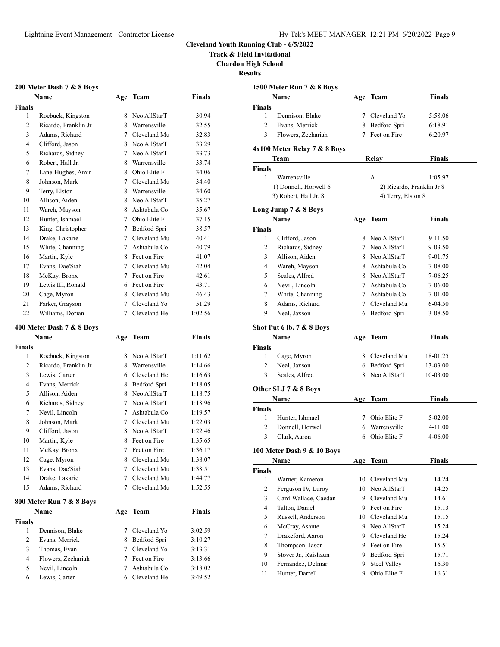**Track & Field Invitational**

**Chardon High School**

**Results**

|              | 200 Meter Dash 7 & 8 Boys<br>Name |   | Age Team       | <b>Finals</b> |
|--------------|-----------------------------------|---|----------------|---------------|
| Finals       |                                   |   |                |               |
| 1            | Roebuck, Kingston                 |   | 8 Neo AllStarT | 30.94         |
| 2            | Ricardo, Franklin Jr              |   | 8 Warrensville | 32.55         |
| 3            | Adams, Richard                    |   | 7 Cleveland Mu | 32.83         |
| 4            | Clifford, Jason                   |   | 8 Neo AllStarT | 33.29         |
| 5            | Richards, Sidney                  |   | 7 Neo AllStarT | 33.73         |
| 6            | Robert, Hall Jr.                  |   | 8 Warrensville | 33.74         |
| 7            | Lane-Hughes, Amir                 |   | 8 Ohio Elite F | 34.06         |
| 8            | Johnson, Mark                     |   | 7 Cleveland Mu | 34.40         |
| 9            | Terry, Elston                     |   | 8 Warrensville | 34.60         |
| 10           | Allison, Aiden                    |   | 8 Neo AllStarT | 35.27         |
| 11           | Wareh, Mayson                     |   | 8 Ashtabula Co | 35.67         |
| 12           | Hunter, Ishmael                   |   | 7 Ohio Elite F | 37.15         |
| 13           | King, Christopher                 |   | 7 Bedford Spri | 38.57         |
| 14           | Drake, Lakarie                    |   | 7 Cleveland Mu | 40.41         |
| 15           | White, Channing                   |   | 7 Ashtabula Co | 40.79         |
| 16           | Martin, Kyle                      |   | 8 Feet on Fire | 41.07         |
| 17           | Evans, Dae'Siah                   |   | 7 Cleveland Mu | 42.04         |
| 18           | McKay, Bronx                      |   | 7 Feet on Fire | 42.61         |
| 19           | Lewis III, Ronald                 |   | 6 Feet on Fire | 43.71         |
| 20           | Cage, Myron                       |   | 8 Cleveland Mu | 46.43         |
| 21           | Parker, Grayson                   |   | 7 Cleveland Yo | 51.29         |
| 22           | Williams, Dorian                  |   | 7 Cleveland He | 1:02.56       |
|              |                                   |   |                |               |
|              | 400 Meter Dash 7 & 8 Boys         |   |                |               |
|              | Name                              |   | Age Team       | <b>Finals</b> |
| Finals       |                                   |   |                |               |
| 1            | Roebuck, Kingston                 |   | 8 Neo AllStarT | 1:11.62       |
| 2            | Ricardo, Franklin Jr              |   | 8 Warrensville | 1:14.66       |
| 3            | Lewis, Carter                     |   | 6 Cleveland He | 1:16.63       |
| 4            | Evans, Merrick                    |   | 8 Bedford Spri | 1:18.05       |
| 5            | Allison, Aiden                    |   | 8 Neo AllStarT | 1:18.75       |
| 6            | Richards, Sidney                  |   | 7 Neo AllStarT | 1:18.96       |
| 7            | Nevil. Lincoln                    |   | 7 Ashtabula Co | 1:19.57       |
| 8            | Johnson, Mark                     |   | 7 Cleveland Mu | 1:22.03       |
| 9            | Clifford, Jason                   |   | 8 Neo AllStarT | 1:22.46       |
| 10           | Martin, Kyle                      |   | 8 Feet on Fire | 1:35.65       |
| 11           | McKay, Bronx                      | 7 | Feet on Fire   | 1:36.17       |
| 12           | Cage, Myron                       | 8 | Cleveland Mu   | 1:38.07       |
| 13           | Evans, Dae'Siah                   | 7 | Cleveland Mu   | 1:38.51       |
| 14           | Drake, Lakarie                    | 7 | Cleveland Mu   | 1:44.77       |
| 15           | Adams, Richard                    | 7 | Cleveland Mu   | 1:52.55       |
|              | 800 Meter Run 7 & 8 Boys          |   |                |               |
|              | Name                              |   | Age Team       | <b>Finals</b> |
| Finals       |                                   |   |                |               |
| $\mathbf{1}$ | Dennison, Blake                   | 7 | Cleveland Yo   | 3:02.59       |
| 2            | Evans, Merrick                    |   | 8 Bedford Spri | 3:10.27       |
| 3            | Thomas, Evan                      | 7 | Cleveland Yo   | 3:13.31       |
| 4            | Flowers, Zechariah                | 7 | Feet on Fire   | 3:13.66       |
| 5            | Nevil, Lincoln                    | 7 | Ashtabula Co   | 3:18.02       |

Lewis, Carter 6 Cleveland He 3:49.52

|                     | 1500 Meter Run 7 & 8 Boys    |    |                                     |               |
|---------------------|------------------------------|----|-------------------------------------|---------------|
|                     | Name                         |    | Age Team                            | Finals        |
| <b>Finals</b>       |                              |    |                                     |               |
| 1                   | Dennison, Blake              |    | 7 Cleveland Yo                      | 5:58.06       |
| 2                   | Evans, Merrick               |    | 8 Bedford Spri                      | 6:18.91       |
| 3                   | Flowers, Zechariah           | 7  | Feet on Fire                        | 6:20.97       |
|                     | 4x100 Meter Relay 7 & 8 Boys |    |                                     |               |
|                     | Team                         |    | Relay                               | Finals        |
| <b>Finals</b>       |                              |    |                                     |               |
| 1                   | Warrensville                 |    | А                                   | 1:05.97       |
|                     | 1) Donnell, Horwell 6        |    | 2) Ricardo, Franklin Jr 8           |               |
|                     | 3) Robert, Hall Jr. 8        |    | 4) Terry, Elston 8                  |               |
|                     | Long Jump 7 & 8 Boys         |    |                                     |               |
|                     | Name                         |    | Age Team                            | Finals        |
| <b>Finals</b>       |                              |    |                                     |               |
| 1                   | Clifford, Jason              |    | 8 Neo AllStarT                      | 9-11.50       |
| 2                   | Richards, Sidney             |    | 7 Neo AllStarT                      | 9-03.50       |
| 3                   | Allison, Aiden               |    | 8 Neo AllStarT                      | 9-01.75       |
| 4                   | Wareh, Mayson                |    | 8 Ashtabula Co                      | 7-08.00       |
| 5                   | Scales, Alfred               |    | 8 Neo AllStarT                      | 7-06.25       |
| 6                   | Nevil, Lincoln               |    | 7 Ashtabula Co                      | 7-06.00       |
| 7                   | White, Channing              |    | 7 Ashtabula Co                      | 7-01.00       |
| 8                   | Adams, Richard               |    | 7 Cleveland Mu                      | 6-04.50       |
| 9                   | Neal, Jaxson                 |    | 6 Bedford Spri                      | 3-08.50       |
|                     | Shot Put 6 lb. 7 & 8 Boys    |    |                                     |               |
|                     | Name                         |    | Age Team                            | Finals        |
| <b>Finals</b>       |                              |    |                                     |               |
| 1                   | Cage, Myron                  |    | 8 Cleveland Mu                      | 18-01.25      |
| $\overline{c}$      | Neal, Jaxson                 |    | 6 Bedford Spri                      | 13-03.00      |
| 3                   | Scales, Alfred               | 8. | Neo AllStarT                        | 10-03.00      |
|                     |                              |    |                                     |               |
|                     | Other SLJ 7 & 8 Boys<br>Name |    |                                     |               |
|                     |                              |    | Age Team                            | Finals        |
| <b>Finals</b><br>1  | Hunter, Ishmael              |    | 7 Ohio Elite F                      | 5-02.00       |
| $\overline{c}$      | Donnell, Horwell             |    | 6 Warrensville                      | 4-11.00       |
| 3                   | Clark, Aaron                 |    | 6 Ohio Elite F                      | 4-06.00       |
|                     |                              |    |                                     |               |
|                     | 100 Meter Dash 9 & 10 Boys   |    |                                     |               |
|                     | Name                         |    | Age Team                            | <b>Finals</b> |
|                     |                              |    |                                     |               |
|                     |                              |    |                                     |               |
| 1                   | Warner, Kameron              | 10 | Cleveland Mu                        | 14.24         |
| $\overline{2}$      | Ferguson IV, Luroy           |    | 10 Neo AllStarT                     | 14.25         |
| 3                   | Card-Wallace, Caedan         |    | 9 Cleveland Mu                      | 14.61         |
| 4                   | Talton, Daniel               |    | 9 Feet on Fire                      | 15.13         |
| 5                   | Russell, Anderson            |    | 10 Cleveland Mu                     | 15.15         |
| 6                   | McCray, Asante               |    | 9 Neo AllStarT                      | 15.24         |
| 7                   | Drakeford, Aaron             |    | 9 Cleveland He                      | 15.24         |
| 8                   | Thompson, Jason              |    | 9 Feet on Fire                      | 15.51         |
| 9                   | Stover Jr., Raishaun         |    | 9 Bedford Spri                      | 15.71         |
| <b>Finals</b><br>10 | Fernandez, Delmar            | 9  | <b>Steel Valley</b><br>Ohio Elite F | 16.30         |
|                     |                              |    |                                     |               |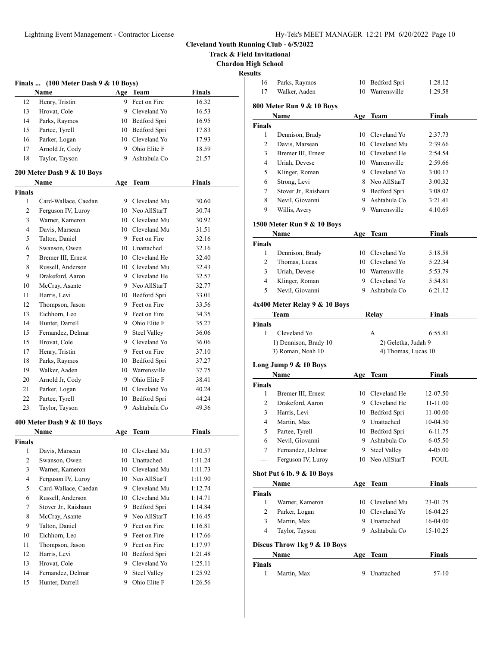**Track & Field Invitational**

**Chardon High School Results**

|                | Finals  (100 Meter Dash 9 & 10 Boys) |     |                 |               |
|----------------|--------------------------------------|-----|-----------------|---------------|
|                | Name                                 |     | Age Team        | Finals        |
| 12             | Henry, Tristin                       |     | 9 Feet on Fire  | 16.32         |
| 13             | Hrovat, Cole                         |     | 9 Cleveland Yo  | 16.53         |
| 14             | Parks, Raymos                        |     | 10 Bedford Spri | 16.95         |
| 15             | Partee, Tyrell                       |     | 10 Bedford Spri | 17.83         |
| 16             | Parker, Logan                        |     | 10 Cleveland Yo | 17.93         |
| 17             | Arnold Jr, Cody                      |     | 9 Ohio Elite F  | 18.59         |
| 18             | Taylor, Tayson                       |     | 9 Ashtabula Co  | 21.57         |
|                | 200 Meter Dash 9 & 10 Boys           |     |                 |               |
|                | Name                                 | Age | Team            | <b>Finals</b> |
| <b>Finals</b>  |                                      |     |                 |               |
| 1              | Card-Wallace, Caedan                 |     | 9 Cleveland Mu  | 30.60         |
| 2              | Ferguson IV, Luroy                   |     | 10 Neo AllStarT | 30.74         |
| 3              | Warner, Kameron                      |     | 10 Cleveland Mu | 30.92         |
| 4              | Davis, Marsean                       |     | 10 Cleveland Mu | 31.51         |
| 5              | Talton, Daniel                       |     | 9 Feet on Fire  | 32.16         |
| 6              | Swanson, Owen                        |     | 10 Unattached   | 32.16         |
| 7              | Bremer III, Ernest                   |     | 10 Cleveland He | 32.40         |
| 8              | Russell, Anderson                    |     | 10 Cleveland Mu | 32.43         |
| 9              | Drakeford, Aaron                     |     | 9 Cleveland He  | 32.57         |
| 10             | McCray, Asante                       |     | 9 Neo AllStarT  | 32.77         |
| 11             | Harris, Levi                         |     | 10 Bedford Spri | 33.01         |
| 12             | Thompson, Jason                      |     | 9 Feet on Fire  | 33.56         |
| 13             | Eichhorn, Leo                        |     | 9 Feet on Fire  | 34.35         |
| 14             | Hunter, Darrell                      |     | 9 Ohio Elite F  | 35.27         |
| 15             | Fernandez, Delmar                    |     | 9 Steel Valley  | 36.06         |
| 15             | Hrovat, Cole                         |     | 9 Cleveland Yo  | 36.06         |
| 17             | Henry, Tristin                       |     | 9 Feet on Fire  | 37.10         |
| 18             | Parks, Raymos                        |     | 10 Bedford Spri | 37.27         |
| 19             | Walker, Aaden                        |     | 10 Warrensville | 37.75         |
| 20             | Arnold Jr, Cody                      |     | 9 Ohio Elite F  | 38.41         |
| 21             | Parker, Logan                        |     | 10 Cleveland Yo | 40.24         |
| 22             | Partee, Tyrell                       |     | 10 Bedford Spri | 44.24         |
| 23             | Taylor, Tayson                       | 9   | Ashtabula Co    | 49.36         |
|                | 400 Meter Dash 9 & 10 Boys           |     |                 |               |
|                | Name                                 |     | Age Team        | Finals        |
| <b>Finals</b>  |                                      |     |                 |               |
| 1              | Davis, Marsean                       | 10  | Cleveland Mu    | 1:10.57       |
| 2              | Swanson, Owen                        |     | 10 Unattached   | 1:11.24       |
| 3              | Warner, Kameron                      |     | 10 Cleveland Mu | 1:11.73       |
| $\overline{4}$ | Ferguson IV, Luroy                   |     | 10 Neo AllStarT | 1:11.90       |
| 5              | Card-Wallace, Caedan                 |     | 9 Cleveland Mu  | 1:12.74       |
| 6              | Russell, Anderson                    |     | 10 Cleveland Mu | 1:14.71       |
| 7              | Stover Jr., Raishaun                 |     | 9 Bedford Spri  | 1:14.84       |
| 8              | McCray, Asante                       |     | 9 Neo AllStarT  | 1:16.45       |
| 9              | Talton, Daniel                       |     | 9 Feet on Fire  | 1:16.81       |
| 10             | Eichhorn, Leo                        |     | 9 Feet on Fire  | 1:17.66       |
| 11             | Thompson, Jason                      |     | 9 Feet on Fire  | 1:17.97       |
| 12             | Harris, Levi                         |     | 10 Bedford Spri | 1:21.48       |
| 13             | Hrovat, Cole                         | 9   | Cleveland Yo    | 1:25.11       |
| 14             | Fernandez, Delmar                    | 9.  | Steel Valley    | 1:25.92       |
| 15             | Hunter, Darrell                      | 9.  | Ohio Elite F    | 1:26.56       |
|                |                                      |     |                 |               |

| 16             | Parks, Raymos                         | 10  | Bedford Spri                     | 1:28.12       |  |
|----------------|---------------------------------------|-----|----------------------------------|---------------|--|
| 17             | Walker, Aaden                         | 10  | Warrensville                     | 1:29.58       |  |
|                |                                       |     |                                  |               |  |
|                | 800 Meter Run 9 & 10 Boys             |     |                                  |               |  |
|                | Name                                  |     | Age Team                         | Finals        |  |
| <b>Finals</b>  |                                       |     |                                  |               |  |
| 1              | Dennison, Brady                       |     | 10 Cleveland Yo                  | 2:37.73       |  |
| 2              | Davis, Marsean                        |     | 10 Cleveland Mu                  | 2:39.66       |  |
| 3              | Bremer III, Ernest                    |     | 10 Cleveland He                  | 2:54.54       |  |
| 4              | Uriah, Devese                         |     | 10 Warrensville                  | 2:59.66       |  |
| 5              | Klinger, Roman                        |     | 9 Cleveland Yo                   | 3:00.17       |  |
| 6              | Strong, Levi                          |     | 8 Neo AllStarT                   | 3:00.32       |  |
| 7              | Stover Jr., Raishaun                  |     | 9 Bedford Spri                   | 3:08.02       |  |
| 8<br>9         | Nevil, Giovanni                       |     | 9 Ashtabula Co<br>9 Warrensville | 3:21.41       |  |
|                | Willis, Avery                         |     |                                  | 4:10.69       |  |
|                | 1500 Meter Run 9 & 10 Boys            |     |                                  |               |  |
|                | Name                                  |     | Age Team                         | <b>Finals</b> |  |
| Finals         |                                       |     |                                  |               |  |
| 1              | Dennison, Brady                       |     | 10 Cleveland Yo                  | 5:18.58       |  |
| 2              | Thomas, Lucas                         |     | 10 Cleveland Yo                  | 5:22.34       |  |
| 3              | Uriah, Devese                         |     | 10 Warrensville                  | 5:53.79       |  |
| 4              | Klinger, Roman                        |     | 9 Cleveland Yo                   | 5:54.81       |  |
| 5              | Nevil, Giovanni                       |     | 9 Ashtabula Co                   | 6:21.12       |  |
|                | 4x400 Meter Relay 9 & 10 Boys         |     |                                  |               |  |
|                | Team                                  |     | Relay                            | Finals        |  |
| <b>Finals</b>  |                                       |     |                                  |               |  |
| 1              | Cleveland Yo                          |     | A                                | 6:55.81       |  |
|                | 1) Dennison, Brady 10                 |     | 2) Geletka, Judah 9              |               |  |
|                |                                       |     |                                  |               |  |
|                | 3) Roman, Noah 10                     |     | 4) Thomas, Lucas 10              |               |  |
|                |                                       |     |                                  |               |  |
|                | Long Jump 9 & 10 Boys                 |     |                                  |               |  |
|                | Name                                  |     | Age Team                         | <b>Finals</b> |  |
| <b>Finals</b>  |                                       |     |                                  |               |  |
| 1              | Bremer III, Ernest                    |     | 10 Cleveland He                  | 12-07.50      |  |
| $\overline{2}$ | Drakeford, Aaron                      |     | 9 Cleveland He                   | 11-11.00      |  |
| 3              | Harris, Levi                          |     | 10 Bedford Spri                  | 11-00.00      |  |
| 4              | Martin, Max                           |     | 9 Unattached                     | 10-04.50      |  |
| 5              | Partee, Tyrell                        |     | 10 Bedford Spri                  | 6-11.75       |  |
| 6              | Nevil, Giovanni                       |     | 9 Ashtabula Co                   | 6-05.50       |  |
| 7<br>---       | Fernandez, Delmar                     | 9.  | <b>Steel Valley</b>              | 4-05.00       |  |
|                | Ferguson IV, Luroy                    |     | 10 Neo AllStarT                  | FOUL          |  |
|                | <b>Shot Put 6 lb. 9 &amp; 10 Boys</b> |     |                                  |               |  |
|                | Name                                  |     | Age Team                         | <b>Finals</b> |  |
| Finals         |                                       |     |                                  |               |  |
| 1              | Warner, Kameron                       |     | 10 Cleveland Mu                  | 23-01.75      |  |
| 2              | Parker, Logan                         |     | 10 Cleveland Yo                  | 16-04.25      |  |
| 3              | Martin, Max                           |     | 9 Unattached                     | 16-04.00      |  |
| 4              | Taylor, Tayson                        |     | 9 Ashtabula Co                   | 15-10.25      |  |
|                | Discus Throw 1kg 9 & 10 Boys          |     |                                  |               |  |
|                | Name                                  | Age | Team                             | <b>Finals</b> |  |
| <b>Finals</b>  |                                       |     |                                  |               |  |
| 1              | Martin, Max                           | 9   | Unattached                       | 57-10         |  |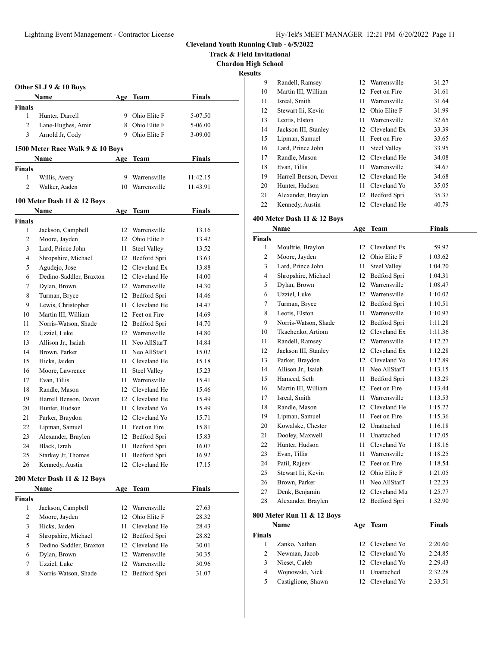**Track & Field Invitational**

**Chardon High School**

**Results**

|               |                                  |      |                     |               | R |
|---------------|----------------------------------|------|---------------------|---------------|---|
|               | Other SLJ 9 & 10 Boys            |      |                     |               |   |
|               | Name                             |      | Age Team            | <b>Finals</b> |   |
| Finals        |                                  |      |                     |               |   |
| 1             | Hunter, Darrell                  | 9.   | Ohio Elite F        | 5-07.50       |   |
| 2             | Lane-Hughes, Amir                |      | 8 Ohio Elite F      | 5-06.00       |   |
| 3             | Arnold Jr, Cody                  |      | 9 Ohio Elite F      | 3-09.00       |   |
|               | 1500 Meter Race Walk 9 & 10 Boys |      |                     |               |   |
|               | Name                             |      | Age Team            | Finals        |   |
| <b>Finals</b> |                                  |      |                     |               |   |
| 1             | Willis, Avery                    | 9    | Warrensville        | 11:42.15      |   |
| 2             | Walker, Aaden                    |      | 10 Warrensville     | 11:43.91      |   |
|               | 100 Meter Dash 11 & 12 Boys      |      |                     |               |   |
|               | Name                             | Age  | Team                | <b>Finals</b> |   |
| <b>Finals</b> |                                  |      |                     |               |   |
| 1             | Jackson, Campbell                |      | 12 Warrensville     | 13.16         |   |
| 2             | Moore, Jayden                    |      | 12 Ohio Elite F     | 13.42         |   |
| 3             | Lard, Prince John                | 11   | Steel Valley        | 13.52         |   |
| 4             | Shropshire, Michael              |      | 12 Bedford Spri     | 13.63         |   |
| 5             | Agudejo, Jose                    |      | 12 Cleveland Ex     | 13.88         |   |
| 6             | Dedino-Saddler, Braxton          |      | 12 Cleveland He     | 14.00         |   |
| 7             | Dylan, Brown                     |      | 12 Warrensville     | 14.30         |   |
| 8             | Turman, Bryce                    |      | 12 Bedford Spri     | 14.46         |   |
| 9             | Lewis, Christopher               |      | 11 Cleveland He     | 14.47         |   |
| 10            | Martin III, William              |      | 12 Feet on Fire     | 14.69         |   |
| 11            | Norris-Watson, Shade             |      | 12 Bedford Spri     | 14.70         |   |
| 12            | Uzziel, Luke                     |      | 12 Warrensville     | 14.80         |   |
| 13            | Allison Jr., Isaiah              | 11   | Neo AllStarT        | 14.84         |   |
| 14            | Brown, Parker                    |      | 11 Neo AllStarT     | 15.02         |   |
| 15            | Hicks, Jaiden                    |      | 11 Cleveland He     | 15.18         |   |
| 16            | Moore, Lawrence                  | 11 - | <b>Steel Valley</b> | 15.23         |   |
| 17            | Evan, Tillis                     | 11 - | Warrensville        | 15.41         |   |
| 18            | Randle, Mason                    |      | 12 Cleveland He     | 15.46         |   |
| 19            | Harrell Benson, Devon            |      | 12 Cleveland He     | 15.49         |   |
| 20            | Hunter, Hudson                   | 11 - | Cleveland Yo        | 15.49         |   |
| 21            | Parker, Braydon                  |      | 12 Cleveland Yo     | 15.71         |   |
| 22            | Lipman, Samuel                   | 11   | Feet on Fire        | 15.81         |   |
| 23            | Alexander, Braylen               |      | 12 Bedford Spri     | 15.83         |   |
| 24            | Black, Izrah                     | 11   | Bedford Spri        | 16.07         |   |
| 25            | Starkey Jr, Thomas               | 11   | Bedford Spri        | 16.92         |   |
| 26            | Kennedy, Austin                  | 12   | Cleveland He        | 17.15         |   |
|               | 200 Meter Dash 11 & 12 Boys      |      |                     |               |   |
|               | Name                             | Age  | <b>Team</b>         | <b>Finals</b> |   |
| <b>Finals</b> |                                  |      |                     |               |   |
| 1             | Jackson, Campbell                | 12   | Warrensville        | 27.63         |   |
| 2             | Moore, Jayden                    | 12   | Ohio Elite F        | 28.32         |   |
| 3             | Hicks, Jaiden                    | 11   | Cleveland He        | 28.43         |   |
| 4             | Shropshire, Michael              | 12   | Bedford Spri        | 28.82         |   |
| 5             | Dedino-Saddler, Braxton          |      | 12 Cleveland He     | 30.01         |   |
| 6             | Dylan, Brown                     |      | 12 Warrensville     | 30.35         |   |
| $\tau$        | Uzziel, Luke                     | 12   | Warrensville        | 30.96         |   |
| 8             | Norris-Watson, Shade             | 12   | Bedford Spri        | 31.07         |   |
|               |                                  |      |                     |               |   |

| s. |                       |    |                     |       |
|----|-----------------------|----|---------------------|-------|
| 9  | Randell, Ramsey       | 12 | Warrensville        | 31.27 |
| 10 | Martin III, William   |    | 12 Feet on Fire     | 31.61 |
| 11 | Isreal, Smith         | 11 | Warrensville        | 31.64 |
| 12 | Stewart Iii, Kevin    | 12 | Ohio Elite F        | 31.99 |
| 13 | Leotis, Elston        | 11 | Warrensville        | 32.65 |
| 14 | Jackson III, Stanley  |    | 12 Cleveland Ex     | 33.39 |
| 15 | Lipman, Samuel        | 11 | Feet on Fire        | 33.65 |
| 16 | Lard, Prince John     | 11 | <b>Steel Valley</b> | 33.95 |
| 17 | Randle, Mason         |    | 12 Cleveland He     | 34.08 |
| 18 | Evan, Tillis          | 11 | Warrensville        | 34.67 |
| 19 | Harrell Benson, Devon |    | 12 Cleveland He     | 34.68 |
| 20 | Hunter, Hudson        | 11 | Cleveland Yo        | 35.05 |
| 21 | Alexander, Braylen    | 12 | Bedford Spri        | 35.37 |
| 22 | Kennedy, Austin       | 12 | Cleveland He        | 40.79 |

# **400 Meter Dash 11 & 12 Boys**

|                | Name                 | Age | <b>Team</b>         | <b>Finals</b> |  |
|----------------|----------------------|-----|---------------------|---------------|--|
| <b>Finals</b>  |                      |     |                     |               |  |
| 1              | Moultrie, Braylon    | 12  | Cleveland Ex        | 59.92         |  |
| $\overline{c}$ | Moore, Jayden        | 12  | Ohio Elite F        | 1:03.62       |  |
| 3              | Lard, Prince John    | 11  | <b>Steel Valley</b> | 1:04.20       |  |
| $\overline{4}$ | Shropshire, Michael  | 12  | Bedford Spri        | 1:04.31       |  |
| 5              | Dylan, Brown         | 12  | Warrensville        | 1:08.47       |  |
| 6              | Uzziel, Luke         | 12  | Warrensville        | 1:10.02       |  |
| 7              | Turman, Bryce        | 12  | Bedford Spri        | 1:10.51       |  |
| 8              | Leotis, Elston       | 11  | Warrensville        | 1:10.97       |  |
| 9              | Norris-Watson, Shade | 12  | Bedford Spri        | 1:11.28       |  |
| 10             | Tkachenko, Artiom    | 12  | Cleveland Ex        | 1:11.36       |  |
| 11             | Randell, Ramsey      | 12  | Warrensville        | 1:12.27       |  |
| 12             | Jackson III, Stanley | 12  | Cleveland Ex        | 1:12.28       |  |
| 13             | Parker, Braydon      | 12  | Cleveland Yo        | 1:12.89       |  |
| 14             | Allison Jr., Isaiah  | 11  | Neo AllStarT        | 1:13.15       |  |
| 15             | Hameed, Seth         | 11  | Bedford Spri        | 1:13.29       |  |
| 16             | Martin III, William  | 12  | Feet on Fire        | 1:13.44       |  |
| 17             | Isreal, Smith        | 11  | Warrensville        | 1:13.53       |  |
| 18             | Randle, Mason        |     | 12 Cleveland He     | 1:15.22       |  |
| 19             | Lipman, Samuel       | 11  | Feet on Fire        | 1:15.36       |  |
| 20             | Kowalske, Chester    |     | 12 Unattached       | 1:16.18       |  |
| 21             | Dooley, Maxwell      | 11  | Unattached          | 1:17.05       |  |
| 22             | Hunter, Hudson       | 11  | Cleveland Yo        | 1:18.16       |  |
| 23             | Evan, Tillis         | 11  | Warrensville        | 1:18.25       |  |
| 24             | Patil, Rajeev        |     | 12 Feet on Fire     | 1:18.54       |  |
| 25             | Stewart Iii, Kevin   | 12  | Ohio Elite F        | 1:21.05       |  |
| 26             | Brown, Parker        | 11  | Neo AllStarT        | 1:22.23       |  |
| 27             | Denk, Benjamin       | 12  | Cleveland Mu        | 1:25.77       |  |
| 28             | Alexander, Braylen   | 12  | Bedford Spri        | 1:32.90       |  |
|                |                      |     |                     |               |  |

# **800 Meter Run 11 & 12 Boys**

|               | Name               | Age Team        | <b>Finals</b> |  |
|---------------|--------------------|-----------------|---------------|--|
| <b>Finals</b> |                    |                 |               |  |
|               | Zanko, Nathan      | 12 Cleveland Yo | 2:20.60       |  |
| 2             | Newman, Jacob      | 12 Cleveland Yo | 2:24.85       |  |
| 3             | Nieset, Caleb      | 12 Cleveland Yo | 2:29.43       |  |
| 4             | Wojnowski, Nick    | Unattached      | 2:32.28       |  |
| 5             | Castiglione, Shawn | 12 Cleveland Yo | 2:33.51       |  |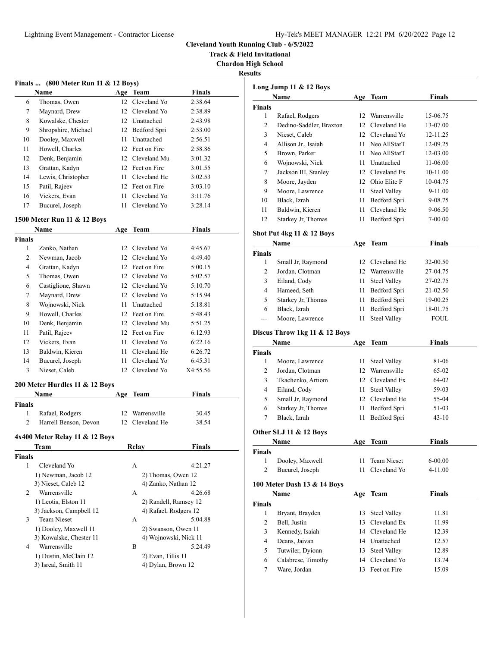**Track & Field Invitational**

**Chardon High School**

| esuits |  |
|--------|--|
|        |  |

|    | Finals $(800 \text{ meter Run } 11 \& 12 \text{ Boys})$ |    |                 |               |  |
|----|---------------------------------------------------------|----|-----------------|---------------|--|
|    | Name                                                    |    | Age Team        | <b>Finals</b> |  |
| 6  | Thomas, Owen                                            |    | 12 Cleveland Yo | 2:38.64       |  |
| 7  | Maynard, Drew                                           |    | 12 Cleveland Yo | 2:38.89       |  |
| 8  | Kowalske, Chester                                       |    | 12 Unattached   | 2:43.98       |  |
| 9  | Shropshire, Michael                                     | 12 | Bedford Spri    | 2:53.00       |  |
| 10 | Dooley, Maxwell                                         | 11 | Unattached      | 2:56.51       |  |
| 11 | Howell, Charles                                         |    | 12 Feet on Fire | 2:58.86       |  |
| 12 | Denk, Benjamin                                          |    | 12 Cleveland Mu | 3:01.32       |  |
| 13 | Grattan, Kadyn                                          |    | 12 Feet on Fire | 3:01.55       |  |
| 14 | Lewis, Christopher                                      | 11 | Cleveland He    | 3:02.53       |  |
| 15 | Patil, Rajeev                                           |    | 12 Feet on Fire | 3:03.10       |  |
| 16 | Vickers, Evan                                           | 11 | Cleveland Yo    | 3:11.76       |  |
| 17 | Bucurel, Joseph                                         | 11 | Cleveland Yo    | 3:28.14       |  |

#### **1500 Meter Run 11 & 12 Boys**

| Name               |    | Team         | <b>Finals</b>                                                                                                            |  |
|--------------------|----|--------------|--------------------------------------------------------------------------------------------------------------------------|--|
|                    |    |              |                                                                                                                          |  |
| Zanko, Nathan      |    | Cleveland Yo | 4:45.67                                                                                                                  |  |
| Newman, Jacob      |    |              | 4:49.40                                                                                                                  |  |
| Grattan, Kadyn     |    |              | 5:00.15                                                                                                                  |  |
| Thomas, Owen       |    | Cleveland Yo | 5:02.57                                                                                                                  |  |
| Castiglione, Shawn |    | Cleveland Yo | 5:10.70                                                                                                                  |  |
| Maynard, Drew      |    |              | 5:15.94                                                                                                                  |  |
| Wojnowski, Nick    |    | Unattached   | 5:18.81                                                                                                                  |  |
| Howell, Charles    | 12 | Feet on Fire | 5:48.43                                                                                                                  |  |
| Denk, Benjamin     |    | Cleveland Mu | 5:51.25                                                                                                                  |  |
| Patil, Rajeev      |    |              | 6:12.93                                                                                                                  |  |
| Vickers, Evan      | 11 | Cleveland Yo | 6:22.16                                                                                                                  |  |
| Baldwin, Kieren    | 11 | Cleveland He | 6:26.72                                                                                                                  |  |
| Bucurel, Joseph    | 11 | Cleveland Yo | 6:45.31                                                                                                                  |  |
| Nieset, Caleb      |    | Cleveland Yo | X4:55.56                                                                                                                 |  |
|                    |    |              | Age<br>$12-12$<br>12 Cleveland Yo<br>12 Feet on Fire<br>12<br>12<br>12 Cleveland Yo<br>11<br>12<br>12 Feet on Fire<br>12 |  |

# **200 Meter Hurdles 11 & 12 Boys**

|        | <b>Name</b>           | Age Team        | Finals |  |
|--------|-----------------------|-----------------|--------|--|
| Finals |                       |                 |        |  |
|        | Rafael, Rodgers       | 12 Warrensville | 30.45  |  |
|        | Harrell Benson, Devon | 12 Cleveland He | 38.54  |  |

# **4x400 Meter Relay 11 & 12 Boys**

|        | Team                    | Relay              | <b>Finals</b>         |
|--------|-------------------------|--------------------|-----------------------|
| Finals |                         |                    |                       |
| 1      | Cleveland Yo            | A                  | 4:21.27               |
|        | 1) Newman, Jacob 12     |                    | 2) Thomas, Owen 12    |
|        | 3) Nieset, Caleb 12     |                    | 4) Zanko, Nathan 12   |
| 2      | Warrensville            | A                  | 4:26.68               |
|        | 1) Leotis, Elston 11    |                    | 2) Randell, Ramsey 12 |
|        | 3) Jackson, Campbell 12 |                    | 4) Rafael, Rodgers 12 |
| 3      | <b>Team Nieset</b>      | A                  | 5:04.88               |
|        | 1) Dooley, Maxwell 11   |                    | 2) Swanson, Owen 11   |
|        | 3) Kowalske, Chester 11 |                    | 4) Wojnowski, Nick 11 |
| 4      | Warrensville            | B                  | 5:24.49               |
|        | 1) Dustin, McClain 12   | 2) Evan, Tillis 11 |                       |
|        | 3) Isreal, Smith 11     |                    | 4) Dylan, Brown 12    |
|        |                         |                    |                       |

|                               | Long Jump 11 & 12 Boys               |      |                                     |               |
|-------------------------------|--------------------------------------|------|-------------------------------------|---------------|
|                               | Name                                 |      | Age Team                            | Finals        |
| <b>Finals</b>                 |                                      |      |                                     |               |
| 1                             | Rafael, Rodgers                      | 12   | Warrensville                        | 15-06.75      |
| 2                             | Dedino-Saddler, Braxton              | 12   | Cleveland He                        | 13-07.00      |
| 3                             | Nieset, Caleb                        | 12   | Cleveland Yo                        | 12-11.25      |
| 4                             | Allison Jr., Isaiah                  | 11 - | Neo AllStarT                        | 12-09.25      |
| 5                             | Brown, Parker                        | 11 - | Neo AllStarT                        | 12-03.00      |
| 6                             | Wojnowski, Nick                      |      | 11 Unattached                       | 11-06.00      |
| 7                             | Jackson III, Stanley                 |      | 12 Cleveland Ex                     | 10-11.00      |
| 8                             | Moore, Jayden                        |      | 12 Ohio Elite F                     | 10-04.75      |
| 9                             | Moore, Lawrence                      | 11   | Steel Valley                        | 9-11.00       |
| 10                            | Black, Izrah                         | 11   | Bedford Spri                        | 9-08.75       |
| 11                            | Baldwin, Kieren                      | 11   | Cleveland He                        | 9-06.50       |
| 12                            | Starkey Jr, Thomas                   | 11   | Bedford Spri                        | 7-00.00       |
|                               | <b>Shot Put 4kg 11 &amp; 12 Boys</b> |      |                                     |               |
|                               | Name                                 |      |                                     |               |
|                               |                                      | Age  | <b>Team</b>                         | <b>Finals</b> |
| <b>Finals</b>                 |                                      |      |                                     |               |
| 1                             | Small Jr, Raymond                    | 12   | Cleveland He                        | 32-00.50      |
| 2                             | Jordan, Clotman                      |      | 12 Warrensville                     | 27-04.75      |
| 3                             | Eiland, Cody                         | 11 - | <b>Steel Valley</b>                 | 27-02.75      |
| 4                             | Hameed, Seth                         | 11   | Bedford Spri                        | 21-02.50      |
| 5                             | Starkey Jr, Thomas                   | 11   | Bedford Spri                        | 19-00.25      |
| 6                             | Black, Izrah                         | 11   | Bedford Spri                        | 18-01.75      |
| ---                           | Moore, Lawrence                      | 11   | Steel Valley                        | FOUL          |
|                               | Discus Throw 1kg 11 & 12 Boys        |      |                                     |               |
|                               | Name                                 | Age  | Team                                | <b>Finals</b> |
| <b>Finals</b>                 |                                      |      |                                     |               |
| 1                             | Moore, Lawrence                      | 11   | <b>Steel Valley</b>                 | 81-06         |
| 2                             | Jordan, Clotman                      | 12   | Warrensville                        | 65-02         |
| 3                             | Tkachenko, Artiom                    | 12   | Cleveland Ex                        | 64-02         |
| 4                             | Eiland, Cody                         | 11 - | <b>Steel Valley</b>                 | 59-03         |
| 5                             | Small Jr, Raymond                    | 12   | Cleveland He                        | 55-04         |
| 6                             | Starkey Jr, Thomas                   | 11   | Bedford Spri                        | 51-03         |
| 7                             | Black, Izrah                         | 11   | Bedford Spri                        | $43 - 10$     |
|                               |                                      |      |                                     |               |
|                               | Other SLJ 11 & 12 Boys               |      |                                     |               |
|                               | Name                                 | Age  | Team                                | Finals        |
| Finals                        |                                      |      |                                     |               |
| 1                             | Dooley, Maxwell                      | 11   | Team Nieset                         | $6 - 00.00$   |
| $\overline{c}$                | Bucurel, Joseph                      | 11   | Cleveland Yo                        | 4-11.00       |
|                               | 100 Meter Dash 13 & 14 Boys          |      |                                     |               |
|                               | Name                                 |      | <b>Team</b>                         | <b>Finals</b> |
|                               |                                      | Age  |                                     |               |
| <b>Finals</b><br>$\mathbf{1}$ | Bryant, Brayden                      |      |                                     |               |
|                               |                                      | 13   | <b>Steel Valley</b><br>Cleveland Ex | 11.81         |
| 2                             | Bell, Justin                         | 13   |                                     | 11.99         |
| 3                             | Kennedy, Isaiah                      | 14   | Cleveland He                        | 12.39         |
| $\overline{4}$                | Deans, Jaivan                        |      | 14 Unattached                       | 12.57         |
| 5                             | Tutwiler, Dyionn                     | 13   | <b>Steel Valley</b>                 | 12.89         |
| 6                             | Calabrese, Timothy                   | 14   | Cleveland Yo                        | 13.74         |
| 7                             | Ware, Jordan                         | 13   | Feet on Fire                        | 15.09         |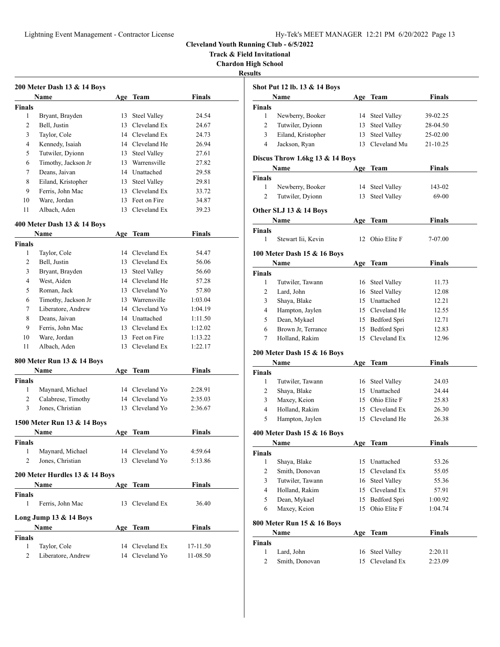**Track & Field Invitational**

**Chardon High School**

**Results**

|                | 200 Meter Dash 13 & 14 Boys    |     |                     |               |
|----------------|--------------------------------|-----|---------------------|---------------|
|                | Name                           |     | Age Team            | <b>Finals</b> |
| <b>Finals</b>  |                                |     |                     |               |
| 1              | Bryant, Brayden                | 13  | <b>Steel Valley</b> | 24.54         |
| 2              | Bell, Justin                   |     | 13 Cleveland Ex     | 24.67         |
| 3              | Taylor, Cole                   |     | 14 Cleveland Ex     | 24.73         |
| 4              | Kennedy, Isaiah                |     | 14 Cleveland He     | 26.94         |
| 5              | Tutwiler, Dyionn               |     | 13 Steel Valley     | 27.61         |
| 6              | Timothy, Jackson Jr            |     | 13 Warrensville     | 27.82         |
| 7              | Deans, Jaivan                  |     | 14 Unattached       | 29.58         |
| 8              | Eiland, Kristopher             |     | 13 Steel Valley     | 29.81         |
| 9              | Ferris, John Mac               |     | 13 Cleveland Ex     | 33.72         |
| 10             | Ware, Jordan                   |     | 13 Feet on Fire     | 34.87         |
| 11             | Albach, Aden                   |     | 13 Cleveland Ex     | 39.23         |
|                | 400 Meter Dash 13 & 14 Boys    |     |                     |               |
|                | Name                           |     | Age Team            | Finals        |
| <b>Finals</b>  |                                |     |                     |               |
| 1              | Taylor, Cole                   |     | 14 Cleveland Ex     | 54.47         |
| 2              | Bell. Justin                   |     | 13 Cleveland Ex     | 56.06         |
| 3              | Bryant, Brayden                |     | 13 Steel Valley     | 56.60         |
| 4              | West, Aiden                    |     | 14 Cleveland He     | 57.28         |
| 5              | Roman, Jack                    |     | 13 Cleveland Yo     | 57.80         |
| 6              | Timothy, Jackson Jr            |     | 13 Warrensville     | 1:03.04       |
| 7              | Liberatore, Andrew             |     | 14 Cleveland Yo     | 1:04.19       |
| 8              | Deans, Jaivan                  |     | 14 Unattached       | 1:11.50       |
| 9              | Ferris, John Mac               |     | 13 Cleveland Ex     | 1:12.02       |
| 10             | Ware, Jordan                   |     | 13 Feet on Fire     | 1:13.22       |
| 11             | Albach, Aden                   |     | 13 Cleveland Ex     | 1:22.17       |
|                | 800 Meter Run 13 & 14 Boys     |     |                     |               |
|                | Name                           |     | Age Team            | <b>Finals</b> |
| Finals         |                                |     |                     |               |
| 1              | Maynard, Michael               |     | 14 Cleveland Yo     | 2:28.91       |
| $\overline{c}$ | Calabrese, Timothy             |     | 14 Cleveland Yo     | 2:35.03       |
| 3              | Jones, Christian               | 13  | Cleveland Yo        | 2:36.67       |
|                | 1500 Meter Run 13 & 14 Boys    |     |                     |               |
|                | Name                           | Age | Team                | Finals        |
| Finals         |                                |     |                     |               |
| 1              | Maynard, Michael               |     | 14 Cleveland Yo     | 4:59.64       |
| 2              | Jones, Christian               |     | 13 Cleveland Yo     | 5:13.86       |
|                | 200 Meter Hurdles 13 & 14 Boys |     |                     |               |
|                | Name                           |     | Age Team            | Finals        |
| Finals         |                                |     |                     |               |
| $\mathbf{1}$   | Ferris, John Mac               |     | 13 Cleveland Ex     | 36.40         |
|                | Long Jump 13 & 14 Boys         |     |                     |               |
|                | Name                           |     | Age Team            | <b>Finals</b> |
| <b>Finals</b>  |                                |     |                     |               |
| 1              | Taylor, Cole                   |     | 14 Cleveland Ex     | 17-11.50      |
| 2              | Liberatore, Andrew             |     | 14 Cleveland Yo     | 11-08.50      |
|                |                                |     |                     |               |

| นเเร           |                                 |          |                                     |                    |
|----------------|---------------------------------|----------|-------------------------------------|--------------------|
|                | Shot Put 12 lb. 13 & 14 Boys    |          |                                     |                    |
|                | <b>Name</b>                     | Age      | Team                                | <b>Finals</b>      |
| <b>Finals</b>  |                                 |          |                                     |                    |
| 1              | Newberry, Booker                |          | 14 Steel Valley                     | 39-02.25           |
| 2              | Tutwiler, Dyionn                | 13       | <b>Steel Valley</b>                 | 28-04.50           |
| 3              | Eiland, Kristopher              | 13       | <b>Steel Valley</b>                 | 25-02.00           |
| 4              | Jackson, Ryan                   | 13       | Cleveland Mu                        | 21-10.25           |
|                | Discus Throw 1.6kg 13 & 14 Boys |          |                                     |                    |
|                | Name                            | Age      | Team                                | <b>Finals</b>      |
| <b>Finals</b>  |                                 |          |                                     |                    |
| 1              | Newberry, Booker                | 14       | <b>Steel Valley</b>                 | 143-02             |
| $\overline{c}$ | Tutwiler, Dyionn                | 13       | <b>Steel Valley</b>                 | 69-00              |
|                | Other SLJ 13 & 14 Boys          |          |                                     |                    |
|                | Name                            |          | Age Team                            | Finals             |
| <b>Finals</b>  |                                 |          |                                     |                    |
| 1              | Stewart Iii, Kevin              | 12       | Ohio Elite F                        | 7-07.00            |
|                | 100 Meter Dash 15 & 16 Boys     |          |                                     |                    |
|                | Name                            |          | Age Team                            | <b>Finals</b>      |
| <b>Finals</b>  |                                 |          |                                     |                    |
| 1              | Tutwiler, Tawann                |          | 16 Steel Valley                     | 11.73              |
| 2              | Lard, John                      | 16       | <b>Steel Valley</b>                 | 12.08              |
| 3              | Shaya, Blake                    |          | 15 Unattached                       | 12.21              |
| 4              | Hampton, Jaylen                 |          | 15 Cleveland He                     | 12.55              |
| 5              | Dean, Mykael                    |          | 15 Bedford Spri                     | 12.71              |
| 6              | Brown Jr, Terrance              | 15       | Bedford Spri                        | 12.83              |
| 7              | Holland, Rakim                  | 15       | Cleveland Ex                        | 12.96              |
|                | 200 Meter Dash 15 & 16 Boys     |          |                                     |                    |
|                | Name                            |          | Age Team                            | Finals             |
| <b>Finals</b>  |                                 |          |                                     |                    |
| 1              | Tutwiler, Tawann                |          | 16 Steel Valley                     | 24.03              |
| 2              | Shaya, Blake                    |          | 15 Unattached                       | 24.44              |
| 3              | Maxey, Keion                    |          | 15 Ohio Elite F                     | 25.83              |
| 4              | Holland, Rakim                  |          | 15 Cleveland Ex                     | 26.30              |
| 5              | Hampton, Jaylen                 |          | 15 Cleveland He                     | 26.38              |
|                |                                 |          |                                     |                    |
|                | 400 Meter Dash 15 & 16 Boys     |          | <b>Team</b>                         | <b>Finals</b>      |
| Finals         | Name                            | Age      |                                     |                    |
| 1              | Shaya, Blake                    | 15       | Unattached                          | 53.26              |
| 2              | Smith, Donovan                  | 15       | Cleveland Ex                        | 55.05              |
| 3              | Tutwiler, Tawann                | 16       | <b>Steel Valley</b>                 | 55.36              |
| 4              | Holland, Rakim                  |          | 15 Cleveland Ex                     | 57.91              |
| 5              |                                 |          |                                     |                    |
|                | Dean, Mykael                    | 15       | Bedford Spri                        | 1:00.92            |
|                | Maxey, Keion                    | 15       | Ohio Elite F                        | 1:04.74            |
| 6              |                                 |          |                                     |                    |
|                | 800 Meter Run 15 & 16 Boys      |          |                                     |                    |
|                | Name                            |          | Age Team                            | <b>Finals</b>      |
| <b>Finals</b>  |                                 |          |                                     |                    |
| 1<br>2         | Lard, John<br>Smith, Donovan    | 16<br>15 | <b>Steel Valley</b><br>Cleveland Ex | 2:20.11<br>2:23.09 |